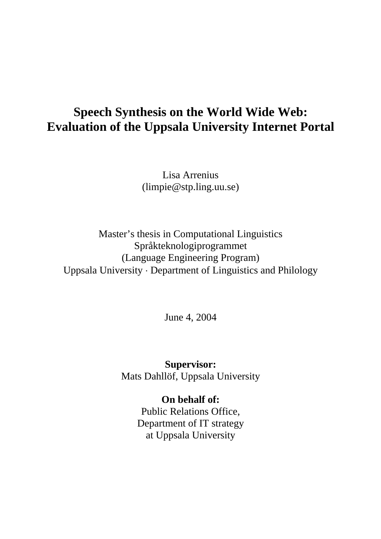# **Speech Synthesis on the World Wide Web: Evaluation of the Uppsala University Internet Portal**

Lisa Arrenius (limpie@stp.ling.uu.se)

Master's thesis in Computational Linguistics Språkteknologiprogrammet (Language Engineering Program) Uppsala University ⋅ Department of Linguistics and Philology

June 4, 2004

**Supervisor:**  Mats Dahllöf, Uppsala University

> **On behalf of:**  Public Relations Office, Department of IT strategy at Uppsala University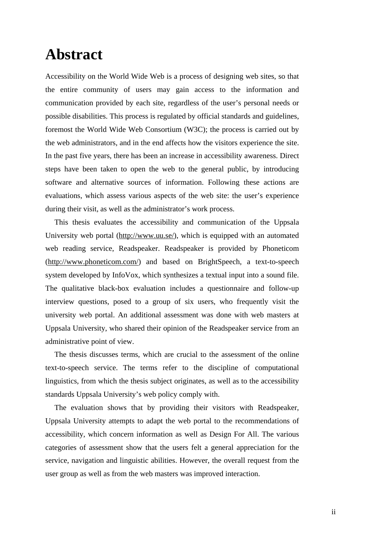# **Abstract**

Accessibility on the World Wide Web is a process of designing web sites, so that the entire community of users may gain access to the information and communication provided by each site, regardless of the user's personal needs or possible disabilities. This process is regulated by official standards and guidelines, foremost the World Wide Web Consortium (W3C); the process is carried out by the web administrators, and in the end affects how the visitors experience the site. In the past five years, there has been an increase in accessibility awareness. Direct steps have been taken to open the web to the general public, by introducing software and alternative sources of information. Following these actions are evaluations, which assess various aspects of the web site: the user's experience during their visit, as well as the administrator's work process.

This thesis evaluates the accessibility and communication of the Uppsala University web portal (http://www.uu.se/), which is equipped with an automated web reading service, Readspeaker. Readspeaker is provided by Phoneticom (http://www.phoneticom.com/) and based on BrightSpeech, a text-to-speech system developed by InfoVox, which synthesizes a textual input into a sound file. The qualitative black-box evaluation includes a questionnaire and follow-up interview questions, posed to a group of six users, who frequently visit the university web portal. An additional assessment was done with web masters at Uppsala University, who shared their opinion of the Readspeaker service from an administrative point of view.

The thesis discusses terms, which are crucial to the assessment of the online text-to-speech service. The terms refer to the discipline of computational linguistics, from which the thesis subject originates, as well as to the accessibility standards Uppsala University's web policy comply with.

The evaluation shows that by providing their visitors with Readspeaker, Uppsala University attempts to adapt the web portal to the recommendations of accessibility, which concern information as well as Design For All. The various categories of assessment show that the users felt a general appreciation for the service, navigation and linguistic abilities. However, the overall request from the user group as well as from the web masters was improved interaction.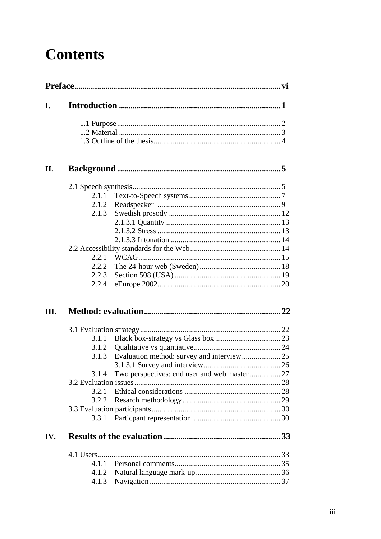# **Contents**

| 2.1.1 |  |
|-------|--|
| 2.1.2 |  |
| 2.1.3 |  |
|       |  |
|       |  |
|       |  |
|       |  |
| 2.2.1 |  |
| 2.2.2 |  |
| 2.2.3 |  |
|       |  |
| 2.2.4 |  |
|       |  |
|       |  |
|       |  |
| 3.1.2 |  |
| 3.1.3 |  |
|       |  |
| 3.1.4 |  |
|       |  |
| 3.2.1 |  |
|       |  |
|       |  |
|       |  |
|       |  |
|       |  |
| 4.1.1 |  |
| 4.1.2 |  |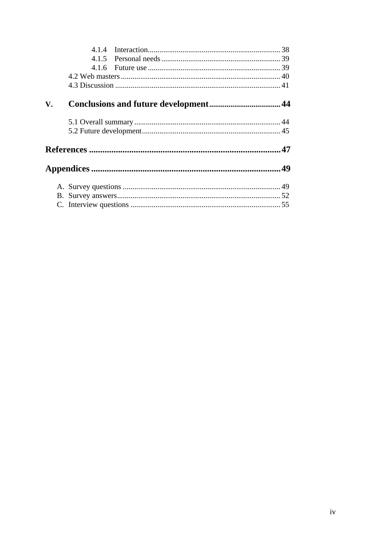| V. |  |  |
|----|--|--|
|    |  |  |
|    |  |  |
|    |  |  |
|    |  |  |
|    |  |  |
|    |  |  |
|    |  |  |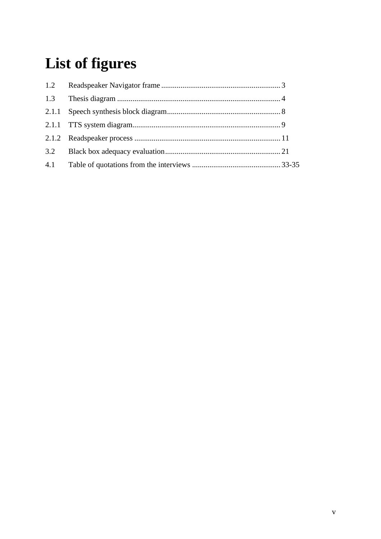# **List of figures**

| 1.2 |  |
|-----|--|
| 1.3 |  |
|     |  |
|     |  |
|     |  |
| 3.2 |  |
| 4.1 |  |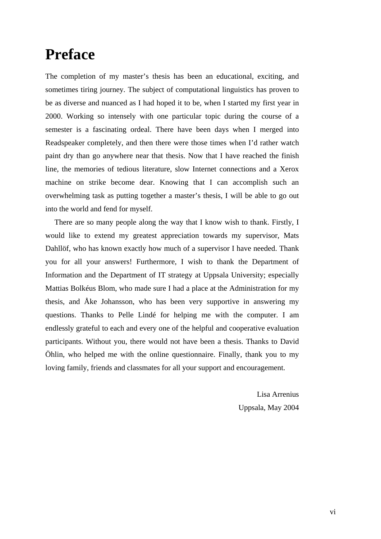# **Preface**

The completion of my master's thesis has been an educational, exciting, and sometimes tiring journey. The subject of computational linguistics has proven to be as diverse and nuanced as I had hoped it to be, when I started my first year in 2000. Working so intensely with one particular topic during the course of a semester is a fascinating ordeal. There have been days when I merged into Readspeaker completely, and then there were those times when I'd rather watch paint dry than go anywhere near that thesis. Now that I have reached the finish line, the memories of tedious literature, slow Internet connections and a Xerox machine on strike become dear. Knowing that I can accomplish such an overwhelming task as putting together a master's thesis, I will be able to go out into the world and fend for myself.

There are so many people along the way that I know wish to thank. Firstly, I would like to extend my greatest appreciation towards my supervisor, Mats Dahllöf, who has known exactly how much of a supervisor I have needed. Thank you for all your answers! Furthermore, I wish to thank the Department of Information and the Department of IT strategy at Uppsala University; especially Mattias Bolkéus Blom, who made sure I had a place at the Administration for my thesis, and Åke Johansson, who has been very supportive in answering my questions. Thanks to Pelle Lindé for helping me with the computer. I am endlessly grateful to each and every one of the helpful and cooperative evaluation participants. Without you, there would not have been a thesis. Thanks to David Öhlin, who helped me with the online questionnaire. Finally, thank you to my loving family, friends and classmates for all your support and encouragement.

> Lisa Arrenius Uppsala, May 2004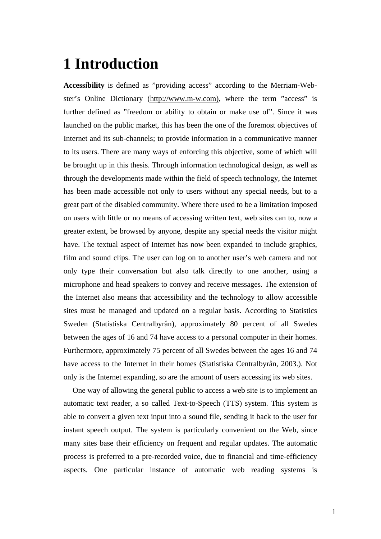# **1 Introduction**

**Accessibility** is defined as "providing access" according to the Merriam-Webster's Online Dictionary (http://www.m-w.com), where the term "access" is further defined as "freedom or ability to obtain or make use of". Since it was launched on the public market, this has been the one of the foremost objectives of Internet and its sub-channels; to provide information in a communicative manner to its users. There are many ways of enforcing this objective, some of which will be brought up in this thesis. Through information technological design, as well as through the developments made within the field of speech technology, the Internet has been made accessible not only to users without any special needs, but to a great part of the disabled community. Where there used to be a limitation imposed on users with little or no means of accessing written text, web sites can to, now a greater extent, be browsed by anyone, despite any special needs the visitor might have. The textual aspect of Internet has now been expanded to include graphics, film and sound clips. The user can log on to another user's web camera and not only type their conversation but also talk directly to one another, using a microphone and head speakers to convey and receive messages. The extension of the Internet also means that accessibility and the technology to allow accessible sites must be managed and updated on a regular basis. According to Statistics Sweden (Statistiska Centralbyrån), approximately 80 percent of all Swedes between the ages of 16 and 74 have access to a personal computer in their homes. Furthermore, approximately 75 percent of all Swedes between the ages 16 and 74 have access to the Internet in their homes (Statistiska Centralbyrån, 2003.). Not only is the Internet expanding, so are the amount of users accessing its web sites.

One way of allowing the general public to access a web site is to implement an automatic text reader, a so called Text-to-Speech (TTS) system. This system is able to convert a given text input into a sound file, sending it back to the user for instant speech output. The system is particularly convenient on the Web, since many sites base their efficiency on frequent and regular updates. The automatic process is preferred to a pre-recorded voice, due to financial and time-efficiency aspects. One particular instance of automatic web reading systems is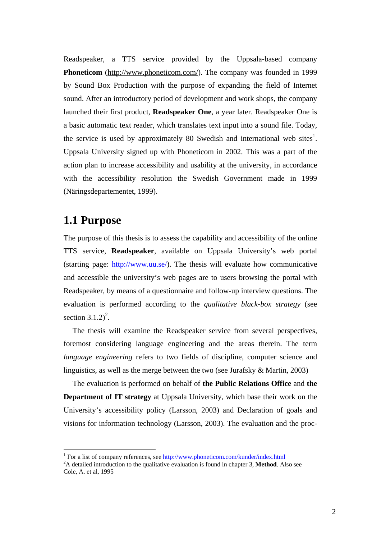Readspeaker, a TTS service provided by the Uppsala-based company **Phoneticom** (http://www.phoneticom.com/). The company was founded in 1999 by Sound Box Production with the purpose of expanding the field of Internet sound. After an introductory period of development and work shops, the company launched their first product, **Readspeaker One**, a year later. Readspeaker One is a basic automatic text reader, which translates text input into a sound file. Today, the service is used by approximately 80 Swedish and international web sites<sup>1</sup>. Uppsala University signed up with Phoneticom in 2002. This was a part of the action plan to increase accessibility and usability at the university, in accordance with the accessibility resolution the Swedish Government made in 1999 (Näringsdepartementet, 1999).

## **1.1 Purpose**

The purpose of this thesis is to assess the capability and accessibility of the online TTS service, **Readspeaker**, available on Uppsala University's web portal (starting page: http://www.uu.se/). The thesis will evaluate how communicative and accessible the university's web pages are to users browsing the portal with Readspeaker, by means of a questionnaire and follow-up interview questions. The evaluation is performed according to the *qualitative black-box strategy* (see section  $3.1.2$ <sup>2</sup>.

The thesis will examine the Readspeaker service from several perspectives, foremost considering language engineering and the areas therein. The term *language engineering* refers to two fields of discipline, computer science and linguistics, as well as the merge between the two (see Jurafsky & Martin, 2003)

The evaluation is performed on behalf of **the Public Relations Office** and **the Department of IT strategy** at Uppsala University, which base their work on the University's accessibility policy (Larsson, 2003) and Declaration of goals and visions for information technology (Larsson, 2003). The evaluation and the proc-

<sup>&</sup>lt;sup>1</sup> For a list of company references, see  $\frac{http://www.phoneticom.com/kunder/index.html}{http://www.phoneticom.com/kunder/index.html}$ 

<sup>&</sup>lt;sup>2</sup>A detailed introduction to the qualitative evaluation is found in chapter 3, **Method**. Also see Cole, A. et al, 1995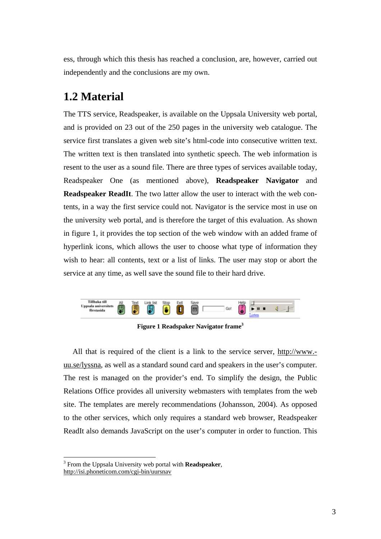ess, through which this thesis has reached a conclusion, are, however, carried out independently and the conclusions are my own.

# **1.2 Material**

The TTS service, Readspeaker, is available on the Uppsala University web portal, and is provided on 23 out of the 250 pages in the university web catalogue. The service first translates a given web site's html-code into consecutive written text. The written text is then translated into synthetic speech. The web information is resent to the user as a sound file. There are three types of services available today, Readspeaker One (as mentioned above), **Readspeaker Navigator** and **Readspeaker ReadIt**. The two latter allow the user to interact with the web contents, in a way the first service could not. Navigator is the service most in use on the university web portal, and is therefore the target of this evaluation. As shown in figure 1, it provides the top section of the web window with an added frame of hyperlink icons, which allows the user to choose what type of information they wish to hear: all contents, text or a list of links. The user may stop or abort the service at any time, as well save the sound file to their hard drive.



**Figure 1 Readspaker Navigator frame3**

All that is required of the client is a link to the service server, http://www. uu.se/lyssna, as well as a standard sound card and speakers in the user's computer. The rest is managed on the provider's end. To simplify the design, the Public Relations Office provides all university webmasters with templates from the web site. The templates are merely recommendations (Johansson, 2004). As opposed to the other services, which only requires a standard web browser, Readspeaker ReadIt also demands JavaScript on the user's computer in order to function. This

 $\overline{a}$ 

<sup>3</sup> From the Uppsala University web portal with **Readspeaker**, http://isi.phoneticom.com/cgi-bin/uursnav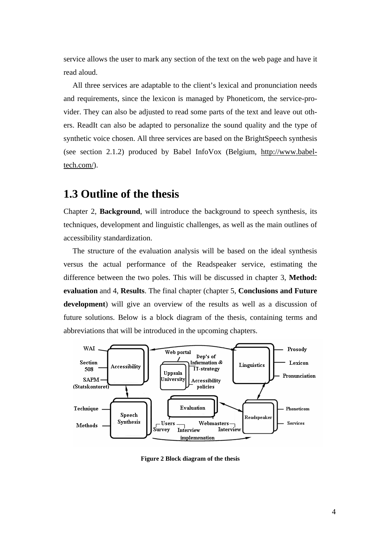service allows the user to mark any section of the text on the web page and have it read aloud.

All three services are adaptable to the client's lexical and pronunciation needs and requirements, since the lexicon is managed by Phoneticom, the service-provider. They can also be adjusted to read some parts of the text and leave out others. ReadIt can also be adapted to personalize the sound quality and the type of synthetic voice chosen. All three services are based on the BrightSpeech synthesis (see section 2.1.2) produced by Babel InfoVox (Belgium, http://www.babeltech.com/).

# **1.3 Outline of the thesis**

Chapter 2, **Background**, will introduce the background to speech synthesis, its techniques, development and linguistic challenges, as well as the main outlines of accessibility standardization.

The structure of the evaluation analysis will be based on the ideal synthesis versus the actual performance of the Readspeaker service, estimating the difference between the two poles. This will be discussed in chapter 3, **Method: evaluation** and 4, **Results**. The final chapter (chapter 5, **Conclusions and Future development**) will give an overview of the results as well as a discussion of future solutions. Below is a block diagram of the thesis, containing terms and abbreviations that will be introduced in the upcoming chapters.



**Figure 2 Block diagram of the thesis**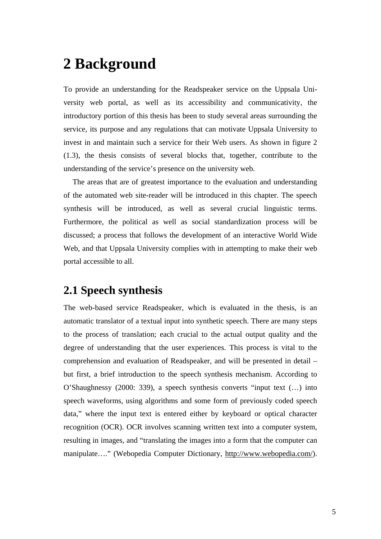# **2 Background**

To provide an understanding for the Readspeaker service on the Uppsala University web portal, as well as its accessibility and communicativity, the introductory portion of this thesis has been to study several areas surrounding the service, its purpose and any regulations that can motivate Uppsala University to invest in and maintain such a service for their Web users. As shown in figure 2 (1.3), the thesis consists of several blocks that, together, contribute to the understanding of the service's presence on the university web.

The areas that are of greatest importance to the evaluation and understanding of the automated web site-reader will be introduced in this chapter. The speech synthesis will be introduced, as well as several crucial linguistic terms. Furthermore, the political as well as social standardization process will be discussed; a process that follows the development of an interactive World Wide Web, and that Uppsala University complies with in attempting to make their web portal accessible to all.

# **2.1 Speech synthesis**

The web-based service Readspeaker, which is evaluated in the thesis, is an automatic translator of a textual input into synthetic speech. There are many steps to the process of translation; each crucial to the actual output quality and the degree of understanding that the user experiences. This process is vital to the comprehension and evaluation of Readspeaker, and will be presented in detail – but first, a brief introduction to the speech synthesis mechanism. According to O'Shaughnessy (2000: 339), a speech synthesis converts "input text (…) into speech waveforms, using algorithms and some form of previously coded speech data," where the input text is entered either by keyboard or optical character recognition (OCR). OCR involves scanning written text into a computer system, resulting in images, and "translating the images into a form that the computer can manipulate…." (Webopedia Computer Dictionary, http://www.webopedia.com/).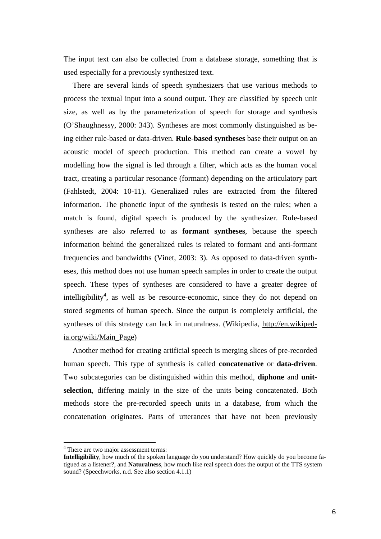The input text can also be collected from a database storage, something that is used especially for a previously synthesized text.

There are several kinds of speech synthesizers that use various methods to process the textual input into a sound output. They are classified by speech unit size, as well as by the parameterization of speech for storage and synthesis (O'Shaughnessy, 2000: 343). Syntheses are most commonly distinguished as being either rule-based or data-driven. **Rule-based syntheses** base their output on an acoustic model of speech production. This method can create a vowel by modelling how the signal is led through a filter, which acts as the human vocal tract, creating a particular resonance (formant) depending on the articulatory part (Fahlstedt, 2004: 10-11). Generalized rules are extracted from the filtered information. The phonetic input of the synthesis is tested on the rules; when a match is found, digital speech is produced by the synthesizer. Rule-based syntheses are also referred to as **formant syntheses**, because the speech information behind the generalized rules is related to formant and anti-formant frequencies and bandwidths (Vinet, 2003: 3). As opposed to data-driven syntheses, this method does not use human speech samples in order to create the output speech. These types of syntheses are considered to have a greater degree of intelligibility<sup>4</sup>, as well as be resource-economic, since they do not depend on stored segments of human speech. Since the output is completely artificial, the syntheses of this strategy can lack in naturalness. (Wikipedia, http://en.wikipedia.org/wiki/Main\_Page)

Another method for creating artificial speech is merging slices of pre-recorded human speech. This type of synthesis is called **concatenative** or **data-driven**. Two subcategories can be distinguished within this method, **diphone** and **unitselection**, differing mainly in the size of the units being concatenated. Both methods store the pre-recorded speech units in a database, from which the concatenation originates. Parts of utterances that have not been previously

 $\overline{a}$ 

<sup>&</sup>lt;sup>4</sup> There are two major assessment terms:

**Intelligibility**, how much of the spoken language do you understand? How quickly do you become fatigued as a listener?, and **Naturalness**, how much like real speech does the output of the TTS system sound? (Speechworks, n.d. See also section 4.1.1)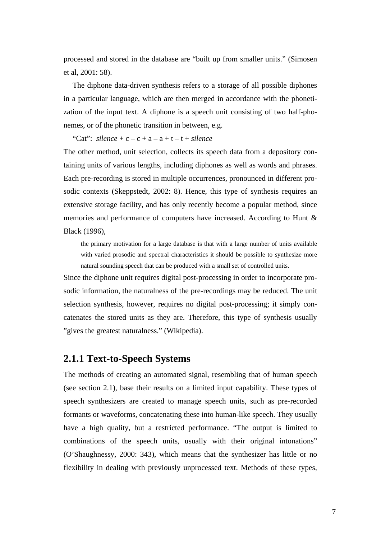processed and stored in the database are "built up from smaller units." (Simosen et al, 2001: 58).

The diphone data-driven synthesis refers to a storage of all possible diphones in a particular language, which are then merged in accordance with the phonetization of the input text. A diphone is a speech unit consisting of two half-phonemes, or of the phonetic transition in between, e.g.

"Cat":  $\textit{silence} + \textit{c} - \textit{c} + \textit{a} - \textit{a} + \textit{t} - \textit{t} + \textit{silence}$ 

The other method, unit selection, collects its speech data from a depository containing units of various lengths, including diphones as well as words and phrases. Each pre-recording is stored in multiple occurrences, pronounced in different prosodic contexts (Skeppstedt, 2002: 8). Hence, this type of synthesis requires an extensive storage facility, and has only recently become a popular method, since memories and performance of computers have increased. According to Hunt & Black (1996),

the primary motivation for a large database is that with a large number of units available with varied prosodic and spectral characteristics it should be possible to synthesize more natural sounding speech that can be produced with a small set of controlled units.

Since the diphone unit requires digital post-processing in order to incorporate prosodic information, the naturalness of the pre-recordings may be reduced. The unit selection synthesis, however, requires no digital post-processing; it simply concatenates the stored units as they are. Therefore, this type of synthesis usually "gives the greatest naturalness." (Wikipedia).

### **2.1.1 Text-to-Speech Systems**

The methods of creating an automated signal, resembling that of human speech (see section 2.1), base their results on a limited input capability. These types of speech synthesizers are created to manage speech units, such as pre-recorded formants or waveforms, concatenating these into human-like speech. They usually have a high quality, but a restricted performance. "The output is limited to combinations of the speech units, usually with their original intonations" (O'Shaughnessy, 2000: 343), which means that the synthesizer has little or no flexibility in dealing with previously unprocessed text. Methods of these types,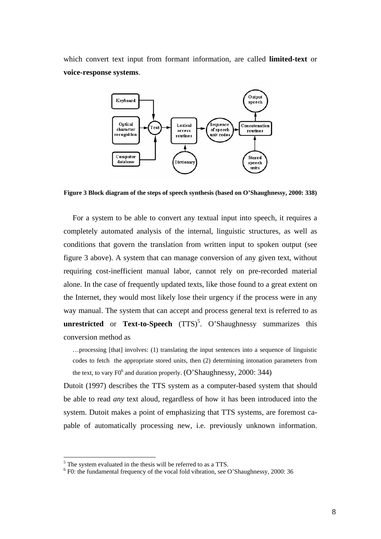which convert text input from formant information, are called **limited-text** or **voice-response systems**.



**Figure 3 Block diagram of the steps of speech synthesis (based on O'Shaughnessy, 2000: 338)** 

For a system to be able to convert any textual input into speech, it requires a completely automated analysis of the internal, linguistic structures, as well as conditions that govern the translation from written input to spoken output (see figure 3 above). A system that can manage conversion of any given text, without requiring cost-inefficient manual labor, cannot rely on pre-recorded material alone. In the case of frequently updated texts, like those found to a great extent on the Internet, they would most likely lose their urgency if the process were in any way manual. The system that can accept and process general text is referred to as **unrestricted** or **Text-to-Speech** (TTS)<sup>5</sup>. O'Shaughnessy summarizes this conversion method as

…processing [that] involves: (1) translating the input sentences into a sequence of linguistic codes to fetch the appropriate stored units, then (2) determining intonation parameters from the text, to vary  $F0^6$  and duration properly. (O'Shaughnessy, 2000: 344)

Dutoit (1997) describes the TTS system as a computer-based system that should be able to read *any* text aloud, regardless of how it has been introduced into the system. Dutoit makes a point of emphasizing that TTS systems, are foremost capable of automatically processing new, i.e. previously unknown information.

 $\overline{a}$ 

<sup>&</sup>lt;sup>5</sup> The system evaluated in the thesis will be referred to as a TTS.<br><sup>6</sup> EQ: the fundamental frequency of the yogal fold vibration, see G

 $6$  F0: the fundamental frequency of the vocal fold vibration, see O'Shaughnessy, 2000: 36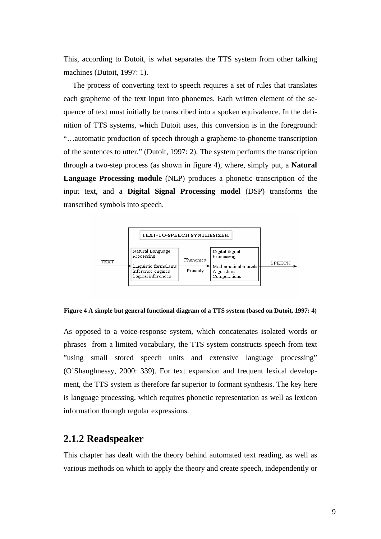This, according to Dutoit, is what separates the TTS system from other talking machines (Dutoit, 1997: 1).

The process of converting text to speech requires a set of rules that translates each grapheme of the text input into phonemes. Each written element of the sequence of text must initially be transcribed into a spoken equivalence. In the definition of TTS systems, which Dutoit uses, this conversion is in the foreground: "…automatic production of speech through a grapheme-to-phoneme transcription of the sentences to utter." (Dutoit, 1997: 2). The system performs the transcription through a two-step process (as shown in figure 4), where, simply put, a **Natural Language Processing module** (NLP) produces a phonetic transcription of the input text, and a **Digital Signal Processing model** (DSP) transforms the transcribed symbols into speech.



**Figure 4 A simple but general functional diagram of a TTS system (based on Dutoit, 1997: 4)**

As opposed to a voice-response system, which concatenates isolated words or phrases from a limited vocabulary, the TTS system constructs speech from text "using small stored speech units and extensive language processing" (O'Shaughnessy, 2000: 339). For text expansion and frequent lexical development, the TTS system is therefore far superior to formant synthesis. The key here is language processing, which requires phonetic representation as well as lexicon information through regular expressions.

## **2.1.2 Readspeaker**

This chapter has dealt with the theory behind automated text reading, as well as various methods on which to apply the theory and create speech, independently or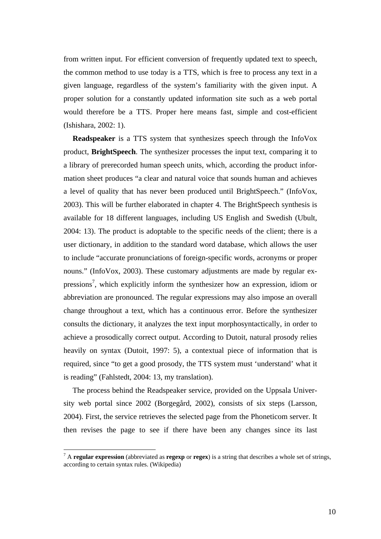from written input. For efficient conversion of frequently updated text to speech, the common method to use today is a TTS, which is free to process any text in a given language, regardless of the system's familiarity with the given input. A proper solution for a constantly updated information site such as a web portal would therefore be a TTS. Proper here means fast, simple and cost-efficient (Ishishara, 2002: 1).

**Readspeaker** is a TTS system that synthesizes speech through the InfoVox product, **BrightSpeech**. The synthesizer processes the input text, comparing it to a library of prerecorded human speech units, which, according the product information sheet produces "a clear and natural voice that sounds human and achieves a level of quality that has never been produced until BrightSpeech." (InfoVox, 2003). This will be further elaborated in chapter 4. The BrightSpeech synthesis is available for 18 different languages, including US English and Swedish (Ubult, 2004: 13). The product is adoptable to the specific needs of the client; there is a user dictionary, in addition to the standard word database, which allows the user to include "accurate pronunciations of foreign-specific words, acronyms or proper nouns." (InfoVox, 2003). These customary adjustments are made by regular expressions<sup>7</sup>, which explicitly inform the synthesizer how an expression, idiom or abbreviation are pronounced. The regular expressions may also impose an overall change throughout a text, which has a continuous error. Before the synthesizer consults the dictionary, it analyzes the text input morphosyntactically, in order to achieve a prosodically correct output. According to Dutoit, natural prosody relies heavily on syntax (Dutoit, 1997: 5), a contextual piece of information that is required, since "to get a good prosody, the TTS system must 'understand' what it is reading" (Fahlstedt, 2004: 13, my translation).

The process behind the Readspeaker service, provided on the Uppsala University web portal since 2002 (Borgegård, 2002), consists of six steps (Larsson, 2004). First, the service retrieves the selected page from the Phoneticom server. It then revises the page to see if there have been any changes since its last

 $\overline{a}$ 

<sup>7</sup> A **regular expression** (abbreviated as **regexp** or **regex**) is a string that describes a whole set of strings, according to certain syntax rules. (Wikipedia)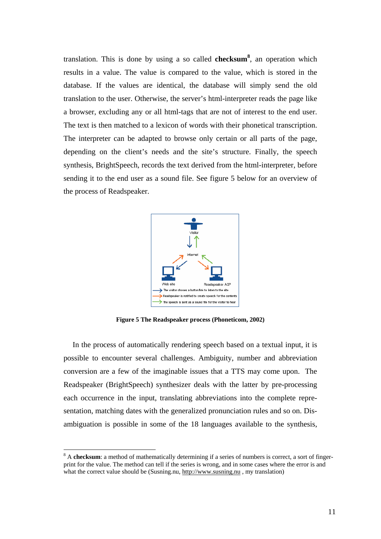translation. This is done by using a so called **checksum8** , an operation which results in a value. The value is compared to the value, which is stored in the database. If the values are identical, the database will simply send the old translation to the user. Otherwise, the server's html-interpreter reads the page like a browser, excluding any or all html-tags that are not of interest to the end user. The text is then matched to a lexicon of words with their phonetical transcription. The interpreter can be adapted to browse only certain or all parts of the page, depending on the client's needs and the site's structure. Finally, the speech synthesis, BrightSpeech, records the text derived from the html-interpreter, before sending it to the end user as a sound file. See figure 5 below for an overview of the process of Readspeaker.



**Figure 5 The Readspeaker process (Phoneticom, 2002)** 

In the process of automatically rendering speech based on a textual input, it is possible to encounter several challenges. Ambiguity, number and abbreviation conversion are a few of the imaginable issues that a TTS may come upon. The Readspeaker (BrightSpeech) synthesizer deals with the latter by pre-processing each occurrence in the input, translating abbreviations into the complete representation, matching dates with the generalized pronunciation rules and so on. Disambiguation is possible in some of the 18 languages available to the synthesis,

 $\overline{a}$ 

<sup>&</sup>lt;sup>8</sup> A **checksum**: a method of mathematically determining if a series of numbers is correct, a sort of fingerprint for the value. The method can tell if the series is wrong, and in some cases where the error is and what the correct value should be (Susning.nu, http://www.susning.nu, my translation)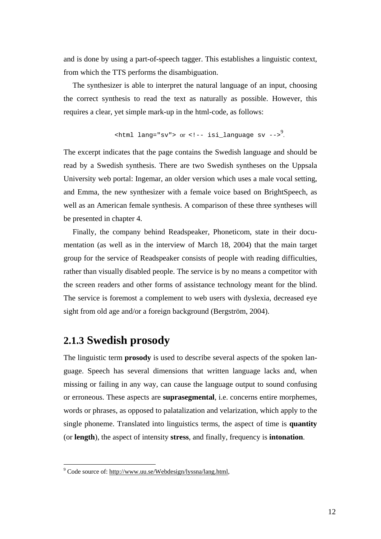and is done by using a part-of-speech tagger. This establishes a linguistic context, from which the TTS performs the disambiguation.

The synthesizer is able to interpret the natural language of an input, choosing the correct synthesis to read the text as naturally as possible. However, this requires a clear, yet simple mark-up in the html-code, as follows:

$$
\verb!="" -->^9.<="" <--="" isi_languages="" lang="sv" math="" or="" sv="">
$$

The excerpt indicates that the page contains the Swedish language and should be read by a Swedish synthesis. There are two Swedish syntheses on the Uppsala University web portal: Ingemar, an older version which uses a male vocal setting, and Emma, the new synthesizer with a female voice based on BrightSpeech, as well as an American female synthesis. A comparison of these three syntheses will be presented in chapter 4.

Finally, the company behind Readspeaker, Phoneticom, state in their documentation (as well as in the interview of March 18, 2004) that the main target group for the service of Readspeaker consists of people with reading difficulties, rather than visually disabled people. The service is by no means a competitor with the screen readers and other forms of assistance technology meant for the blind. The service is foremost a complement to web users with dyslexia, decreased eye sight from old age and/or a foreign background (Bergström, 2004).

## **2.1.3 Swedish prosody**

The linguistic term **prosody** is used to describe several aspects of the spoken language. Speech has several dimensions that written language lacks and, when missing or failing in any way, can cause the language output to sound confusing or erroneous. These aspects are **suprasegmental**, i.e. concerns entire morphemes, words or phrases, as opposed to palatalization and velarization, which apply to the single phoneme. Translated into linguistics terms, the aspect of time is **quantity**  (or **length**), the aspect of intensity **stress**, and finally, frequency is **intonation**.

<sup>&</sup>lt;sup>9</sup> Code source of: http://www.uu.se/Webdesign/lyssna/lang.html,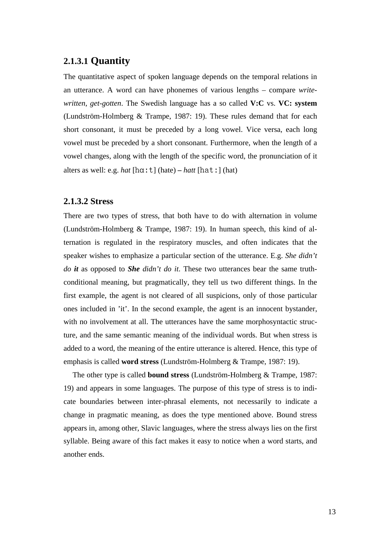### **2.1.3.1 Quantity**

The quantitative aspect of spoken language depends on the temporal relations in an utterance. A word can have phonemes of various lengths – compare *writewritten*, *get-gotten*. The Swedish language has a so called **V:C** vs. **VC: system**  (Lundström-Holmberg & Trampe, 1987: 19). These rules demand that for each short consonant, it must be preceded by a long vowel. Vice versa, each long vowel must be preceded by a short consonant. Furthermore, when the length of a vowel changes, along with the length of the specific word, the pronunciation of it alters as well: e.g. *hat*  $[\text{ha}:\text{t}]$  (hate) – *hatt*  $[\text{ha}:\text{t}]$  (hat)

#### **2.1.3.2 Stress**

There are two types of stress, that both have to do with alternation in volume (Lundström-Holmberg & Trampe, 1987: 19). In human speech, this kind of alternation is regulated in the respiratory muscles, and often indicates that the speaker wishes to emphasize a particular section of the utterance. E.g. *She didn't do it* as opposed to *She didn't do it*. These two utterances bear the same truthconditional meaning, but pragmatically, they tell us two different things. In the first example, the agent is not cleared of all suspicions, only of those particular ones included in 'it'. In the second example, the agent is an innocent bystander, with no involvement at all. The utterances have the same morphosyntactic structure, and the same semantic meaning of the individual words. But when stress is added to a word, the meaning of the entire utterance is altered. Hence, this type of emphasis is called **word stress** (Lundström-Holmberg & Trampe, 1987: 19).

The other type is called **bound stress** (Lundström-Holmberg & Trampe, 1987: 19) and appears in some languages. The purpose of this type of stress is to indicate boundaries between inter-phrasal elements, not necessarily to indicate a change in pragmatic meaning, as does the type mentioned above. Bound stress appears in, among other, Slavic languages, where the stress always lies on the first syllable. Being aware of this fact makes it easy to notice when a word starts, and another ends.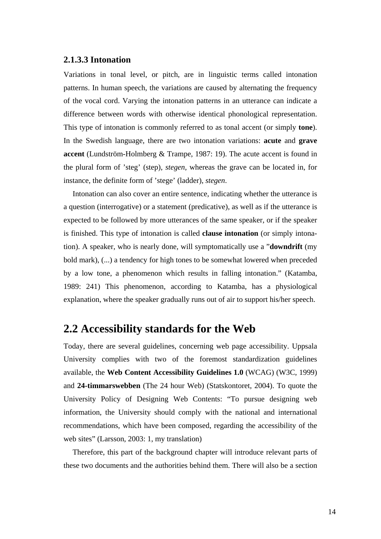#### **2.1.3.3 Intonation**

Variations in tonal level, or pitch, are in linguistic terms called intonation patterns. In human speech, the variations are caused by alternating the frequency of the vocal cord. Varying the intonation patterns in an utterance can indicate a difference between words with otherwise identical phonological representation. This type of intonation is commonly referred to as tonal accent (or simply **tone**). In the Swedish language, there are two intonation variations: **acute** and **grave accent** (Lundström-Holmberg & Trampe, 1987: 19). The acute accent is found in the plural form of 'steg' (step), *stegen*, whereas the grave can be located in, for instance, the definite form of 'stege' (ladder), *stegen*.

Intonation can also cover an entire sentence, indicating whether the utterance is a question (interrogative) or a statement (predicative), as well as if the utterance is expected to be followed by more utterances of the same speaker, or if the speaker is finished. This type of intonation is called **clause intonation** (or simply intonation). A speaker, who is nearly done, will symptomatically use a "**downdrift** (my bold mark), (...) a tendency for high tones to be somewhat lowered when preceded by a low tone, a phenomenon which results in falling intonation." (Katamba, 1989: 241) This phenomenon, according to Katamba, has a physiological explanation, where the speaker gradually runs out of air to support his/her speech.

# **2.2 Accessibility standards for the Web**

Today, there are several guidelines, concerning web page accessibility. Uppsala University complies with two of the foremost standardization guidelines available, the **Web Content Accessibility Guidelines 1.0** (WCAG) (W3C, 1999) and **24-timmarswebben** (The 24 hour Web) (Statskontoret, 2004). To quote the University Policy of Designing Web Contents: "To pursue designing web information, the University should comply with the national and international recommendations, which have been composed, regarding the accessibility of the web sites" (Larsson, 2003: 1, my translation)

Therefore, this part of the background chapter will introduce relevant parts of these two documents and the authorities behind them. There will also be a section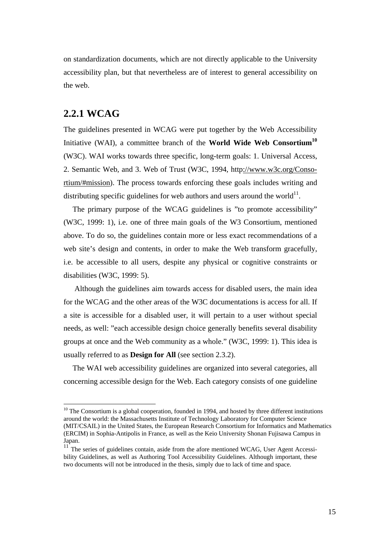on standardization documents, which are not directly applicable to the University accessibility plan, but that nevertheless are of interest to general accessibility on the web.

#### **2.2.1 WCAG**

 $\overline{a}$ 

The guidelines presented in WCAG were put together by the Web Accessibility Initiative (WAI), a committee branch of the **World Wide Web Consortium10** (W3C). WAI works towards three specific, long-term goals: 1. Universal Access, 2. Semantic Web, and 3. Web of Trust (W3C, 1994, http://www.w3c.org/Consortium/#mission). The process towards enforcing these goals includes writing and distributing specific guidelines for web authors and users around the world<sup>11</sup>.

The primary purpose of the WCAG guidelines is "to promote accessibility" (W3C, 1999: 1), i.e. one of three main goals of the W3 Consortium, mentioned above. To do so, the guidelines contain more or less exact recommendations of a web site's design and contents, in order to make the Web transform gracefully, i.e. be accessible to all users, despite any physical or cognitive constraints or disabilities (W3C, 1999: 5).

Although the guidelines aim towards access for disabled users, the main idea for the WCAG and the other areas of the W3C documentations is access for all. If a site is accessible for a disabled user, it will pertain to a user without special needs, as well: "each accessible design choice generally benefits several disability groups at once and the Web community as a whole." (W3C, 1999: 1). This idea is usually referred to as **Design for All** (see section 2.3.2).

The WAI web accessibility guidelines are organized into several categories, all concerning accessible design for the Web. Each category consists of one guideline

 $10$  The Consortium is a global cooperation, founded in 1994, and hosted by three different institutions around the world: the Massachusetts Institute of Technology Laboratory for Computer Science (MIT/CSAIL) in the United States, the European Research Consortium for Informatics and Mathematics (ERCIM) in Sophia-Antipolis in France, as well as the Keio University Shonan Fujisawa Campus in Japan.

 $11$ <sup> $11$ </sup> The series of guidelines contain, aside from the afore mentioned WCAG, User Agent Accessibility Guidelines, as well as Authoring Tool Accessibility Guidelines. Although important, these two documents will not be introduced in the thesis, simply due to lack of time and space.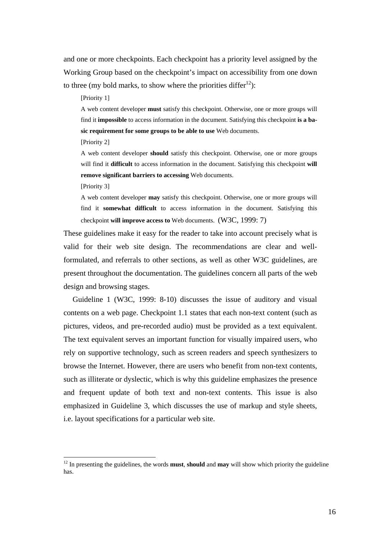and one or more checkpoints. Each checkpoint has a priority level assigned by the Working Group based on the checkpoint's impact on accessibility from one down to three (my bold marks, to show where the priorities differ<sup>12</sup>):

[Priority 1]

A web content developer **must** satisfy this checkpoint. Otherwise, one or more groups will find it **impossible** to access information in the document. Satisfying this checkpoint **is a basic requirement for some groups to be able to use** Web documents.

[Priority 2]

A web content developer **should** satisfy this checkpoint. Otherwise, one or more groups will find it **difficult** to access information in the document. Satisfying this checkpoint **will remove significant barriers to accessing** Web documents.

[Priority 3]

 $\overline{a}$ 

A web content developer **may** satisfy this checkpoint. Otherwise, one or more groups will find it **somewhat difficult** to access information in the document. Satisfying this checkpoint **will improve access to** Web documents. (W3C, 1999: 7)

These guidelines make it easy for the reader to take into account precisely what is valid for their web site design. The recommendations are clear and wellformulated, and referrals to other sections, as well as other W3C guidelines, are present throughout the documentation. The guidelines concern all parts of the web design and browsing stages.

Guideline 1 (W3C, 1999: 8-10) discusses the issue of auditory and visual contents on a web page. Checkpoint 1.1 states that each non-text content (such as pictures, videos, and pre-recorded audio) must be provided as a text equivalent. The text equivalent serves an important function for visually impaired users, who rely on supportive technology, such as screen readers and speech synthesizers to browse the Internet. However, there are users who benefit from non-text contents, such as illiterate or dyslectic, which is why this guideline emphasizes the presence and frequent update of both text and non-text contents. This issue is also emphasized in Guideline 3, which discusses the use of markup and style sheets, i.e. layout specifications for a particular web site.

<sup>12</sup> In presenting the guidelines, the words **must**, **should** and **may** will show which priority the guideline has.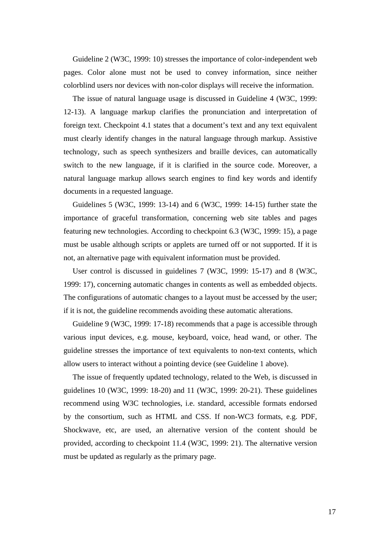Guideline 2 (W3C, 1999: 10) stresses the importance of color-independent web pages. Color alone must not be used to convey information, since neither colorblind users nor devices with non-color displays will receive the information.

The issue of natural language usage is discussed in Guideline 4 (W3C, 1999: 12-13). A language markup clarifies the pronunciation and interpretation of foreign text. Checkpoint 4.1 states that a document's text and any text equivalent must clearly identify changes in the natural language through markup. Assistive technology, such as speech synthesizers and braille devices, can automatically switch to the new language, if it is clarified in the source code. Moreover, a natural language markup allows search engines to find key words and identify documents in a requested language.

Guidelines 5 (W3C, 1999: 13-14) and 6 (W3C, 1999: 14-15) further state the importance of graceful transformation, concerning web site tables and pages featuring new technologies. According to checkpoint 6.3 (W3C, 1999: 15), a page must be usable although scripts or applets are turned off or not supported. If it is not, an alternative page with equivalent information must be provided.

User control is discussed in guidelines 7 (W3C, 1999: 15-17) and 8 (W3C, 1999: 17), concerning automatic changes in contents as well as embedded objects. The configurations of automatic changes to a layout must be accessed by the user; if it is not, the guideline recommends avoiding these automatic alterations.

Guideline 9 (W3C, 1999: 17-18) recommends that a page is accessible through various input devices, e.g. mouse, keyboard, voice, head wand, or other. The guideline stresses the importance of text equivalents to non-text contents, which allow users to interact without a pointing device (see Guideline 1 above).

The issue of frequently updated technology, related to the Web, is discussed in guidelines 10 (W3C, 1999: 18-20) and 11 (W3C, 1999: 20-21). These guidelines recommend using W3C technologies, i.e. standard, accessible formats endorsed by the consortium, such as HTML and CSS. If non-WC3 formats, e.g. PDF, Shockwave, etc, are used, an alternative version of the content should be provided, according to checkpoint 11.4 (W3C, 1999: 21). The alternative version must be updated as regularly as the primary page.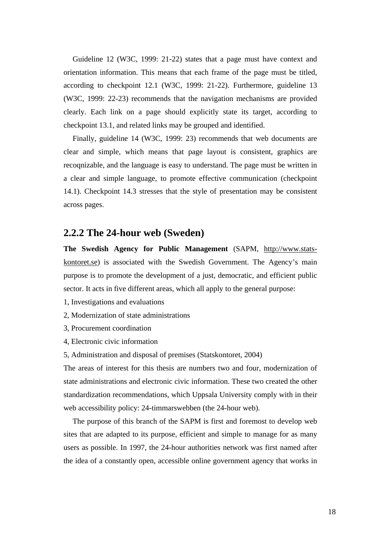Guideline 12 (W3C, 1999: 21-22) states that a page must have context and orientation information. This means that each frame of the page must be titled, according to checkpoint 12.1 (W3C, 1999: 21-22). Furthermore, guideline 13 (W3C, 1999: 22-23) recommends that the navigation mechanisms are provided clearly. Each link on a page should explicitly state its target, according to checkpoint 13.1, and related links may be grouped and identified.

Finally, guideline 14 (W3C, 1999: 23) recommends that web documents are clear and simple, which means that page layout is consistent, graphics are recoqnizable, and the language is easy to understand. The page must be written in a clear and simple language, to promote effective communication (checkpoint 14.1). Checkpoint 14.3 stresses that the style of presentation may be consistent across pages.

#### **2.2.2 The 24-hour web (Sweden)**

**The Swedish Agency for Public Management** (SAPM, http://www.statskontoret.se) is associated with the Swedish Government. The Agency's main purpose is to promote the development of a just, democratic, and efficient public sector. It acts in five different areas, which all apply to the general purpose:

- 1, Investigations and evaluations
- 2, Modernization of state administrations
- 3, Procurement coordination
- 4, Electronic civic information
- 5, Administration and disposal of premises (Statskontoret, 2004)

The areas of interest for this thesis are numbers two and four, modernization of state administrations and electronic civic information. These two created the other standardization recommendations, which Uppsala University comply with in their web accessibility policy: 24-timmarswebben (the 24-hour web).

The purpose of this branch of the SAPM is first and foremost to develop web sites that are adapted to its purpose, efficient and simple to manage for as many users as possible. In 1997, the 24-hour authorities network was first named after the idea of a constantly open, accessible online government agency that works in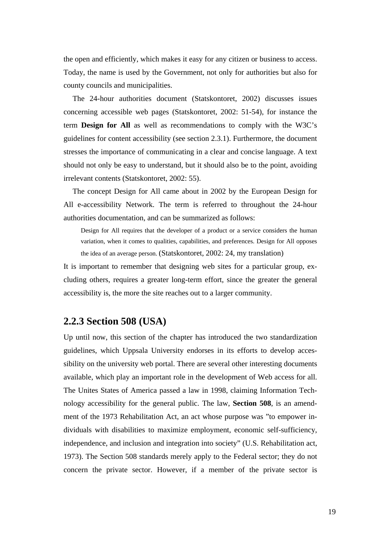the open and efficiently, which makes it easy for any citizen or business to access. Today, the name is used by the Government, not only for authorities but also for county councils and municipalities.

The 24-hour authorities document (Statskontoret, 2002) discusses issues concerning accessible web pages (Statskontoret, 2002: 51-54), for instance the term **Design for All** as well as recommendations to comply with the W3C's guidelines for content accessibility (see section 2.3.1). Furthermore, the document stresses the importance of communicating in a clear and concise language. A text should not only be easy to understand, but it should also be to the point, avoiding irrelevant contents (Statskontoret, 2002: 55).

The concept Design for All came about in 2002 by the European Design for All e-accessibility Network. The term is referred to throughout the 24-hour authorities documentation, and can be summarized as follows:

Design for All requires that the developer of a product or a service considers the human variation, when it comes to qualities, capabilities, and preferences. Design for All opposes the idea of an average person. (Statskontoret, 2002: 24, my translation)

It is important to remember that designing web sites for a particular group, excluding others, requires a greater long-term effort, since the greater the general accessibility is, the more the site reaches out to a larger community.

#### **2.2.3 Section 508 (USA)**

Up until now, this section of the chapter has introduced the two standardization guidelines, which Uppsala University endorses in its efforts to develop accessibility on the university web portal. There are several other interesting documents available, which play an important role in the development of Web access for all. The Unites States of America passed a law in 1998, claiming Information Technology accessibility for the general public. The law, **Section 508**, is an amendment of the 1973 Rehabilitation Act, an act whose purpose was "to empower individuals with disabilities to maximize employment, economic self-sufficiency, independence, and inclusion and integration into society" (U.S. Rehabilitation act, 1973). The Section 508 standards merely apply to the Federal sector; they do not concern the private sector. However, if a member of the private sector is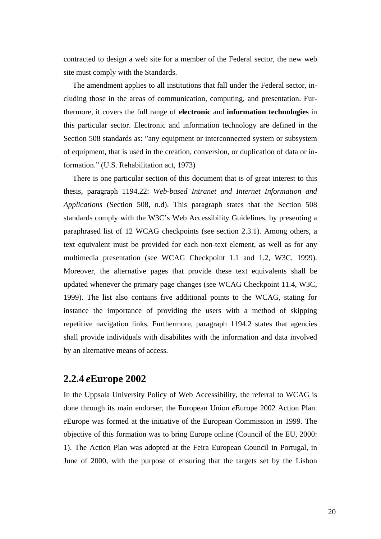contracted to design a web site for a member of the Federal sector, the new web site must comply with the Standards.

The amendment applies to all institutions that fall under the Federal sector, including those in the areas of communication, computing, and presentation. Furthermore, it covers the full range of **electronic** and **information technologies** in this particular sector. Electronic and information technology are defined in the Section 508 standards as: "any equipment or interconnected system or subsystem of equipment, that is used in the creation, conversion, or duplication of data or information." (U.S. Rehabilitation act, 1973)

There is one particular section of this document that is of great interest to this thesis, paragraph 1194.22: *Web-based Intranet and Internet Information and Applications* (Section 508, n.d). This paragraph states that the Section 508 standards comply with the W3C's Web Accessibility Guidelines, by presenting a paraphrased list of 12 WCAG checkpoints (see section 2.3.1). Among others, a text equivalent must be provided for each non-text element, as well as for any multimedia presentation (see WCAG Checkpoint 1.1 and 1.2, W3C, 1999). Moreover, the alternative pages that provide these text equivalents shall be updated whenever the primary page changes (see WCAG Checkpoint 11.4, W3C, 1999). The list also contains five additional points to the WCAG, stating for instance the importance of providing the users with a method of skipping repetitive navigation links. Furthermore, paragraph 1194.2 states that agencies shall provide individuals with disabilites with the information and data involved by an alternative means of access.

#### **2.2.4** *e***Europe 2002**

In the Uppsala University Policy of Web Accessibility, the referral to WCAG is done through its main endorser, the European Union *e*Europe 2002 Action Plan. *e*Europe was formed at the initiative of the European Commission in 1999. The objective of this formation was to bring Europe online (Council of the EU, 2000: 1). The Action Plan was adopted at the Feira European Council in Portugal, in June of 2000, with the purpose of ensuring that the targets set by the Lisbon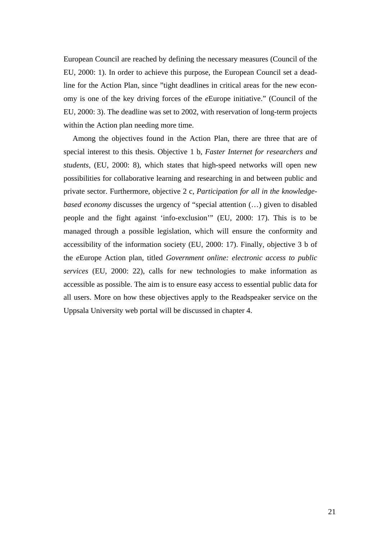European Council are reached by defining the necessary measures (Council of the EU, 2000: 1). In order to achieve this purpose, the European Council set a deadline for the Action Plan, since "tight deadlines in critical areas for the new economy is one of the key driving forces of the *e*Europe initiative." (Council of the EU, 2000: 3). The deadline was set to 2002, with reservation of long-term projects within the Action plan needing more time.

Among the objectives found in the Action Plan, there are three that are of special interest to this thesis. Objective 1 b, *Faster Internet for researchers and students,* (EU, 2000: 8), which states that high-speed networks will open new possibilities for collaborative learning and researching in and between public and private sector. Furthermore, objective 2 c, *Participation for all in the knowledgebased economy* discusses the urgency of "special attention (...) given to disabled people and the fight against 'info-exclusion'" (EU, 2000: 17). This is to be managed through a possible legislation, which will ensure the conformity and accessibility of the information society (EU, 2000: 17). Finally, objective 3 b of the *e*Europe Action plan, titled *Government online: electronic access to public services* (EU, 2000: 22), calls for new technologies to make information as accessible as possible. The aim is to ensure easy access to essential public data for all users. More on how these objectives apply to the Readspeaker service on the Uppsala University web portal will be discussed in chapter 4.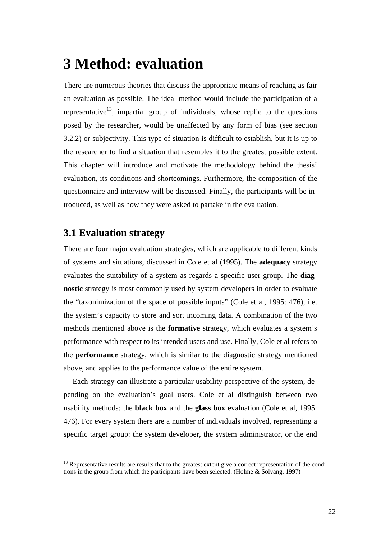# **3 Method: evaluation**

There are numerous theories that discuss the appropriate means of reaching as fair an evaluation as possible. The ideal method would include the participation of a representative<sup>13</sup>, impartial group of individuals, whose replie to the questions posed by the researcher, would be unaffected by any form of bias (see section 3.2.2) or subjectivity. This type of situation is difficult to establish, but it is up to the researcher to find a situation that resembles it to the greatest possible extent. This chapter will introduce and motivate the methodology behind the thesis' evaluation, its conditions and shortcomings. Furthermore, the composition of the questionnaire and interview will be discussed. Finally, the participants will be introduced, as well as how they were asked to partake in the evaluation.

#### **3.1 Evaluation strategy**

 $\overline{a}$ 

There are four major evaluation strategies, which are applicable to different kinds of systems and situations, discussed in Cole et al (1995). The **adequacy** strategy evaluates the suitability of a system as regards a specific user group. The **diagnostic** strategy is most commonly used by system developers in order to evaluate the "taxonimization of the space of possible inputs" (Cole et al, 1995: 476), i.e. the system's capacity to store and sort incoming data. A combination of the two methods mentioned above is the **formative** strategy, which evaluates a system's performance with respect to its intended users and use. Finally, Cole et al refers to the **performance** strategy, which is similar to the diagnostic strategy mentioned above, and applies to the performance value of the entire system.

Each strategy can illustrate a particular usability perspective of the system, depending on the evaluation's goal users. Cole et al distinguish between two usability methods: the **black box** and the **glass box** evaluation (Cole et al, 1995: 476). For every system there are a number of individuals involved, representing a specific target group: the system developer, the system administrator, or the end

<sup>&</sup>lt;sup>13</sup> Representative results are results that to the greatest extent give a correct representation of the conditions in the group from which the participants have been selected. (Holme & Solvang, 1997)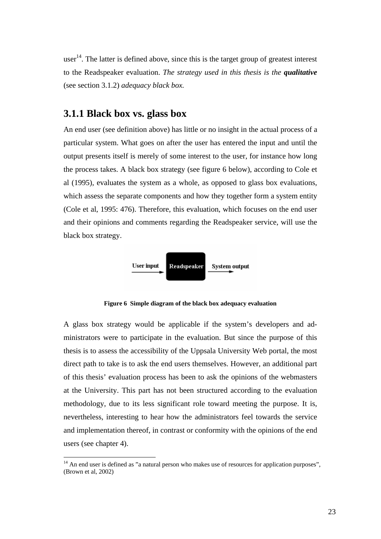user<sup>14</sup>. The latter is defined above, since this is the target group of greatest interest to the Readspeaker evaluation. *The strategy used in this thesis is the qualitative* (see section 3.1.2) *adequacy black box.* 

#### **3.1.1 Black box vs. glass box**

 $\overline{a}$ 

An end user (see definition above) has little or no insight in the actual process of a particular system. What goes on after the user has entered the input and until the output presents itself is merely of some interest to the user, for instance how long the process takes. A black box strategy (see figure 6 below), according to Cole et al (1995), evaluates the system as a whole, as opposed to glass box evaluations, which assess the separate components and how they together form a system entity (Cole et al, 1995: 476). Therefore, this evaluation, which focuses on the end user and their opinions and comments regarding the Readspeaker service, will use the black box strategy.



**Figure 6 Simple diagram of the black box adequacy evaluation** 

A glass box strategy would be applicable if the system's developers and administrators were to participate in the evaluation. But since the purpose of this thesis is to assess the accessibility of the Uppsala University Web portal, the most direct path to take is to ask the end users themselves. However, an additional part of this thesis' evaluation process has been to ask the opinions of the webmasters at the University. This part has not been structured according to the evaluation methodology, due to its less significant role toward meeting the purpose. It is, nevertheless, interesting to hear how the administrators feel towards the service and implementation thereof, in contrast or conformity with the opinions of the end users (see chapter 4).

 $14$  An end user is defined as "a natural person who makes use of resources for application purposes", (Brown et al, 2002)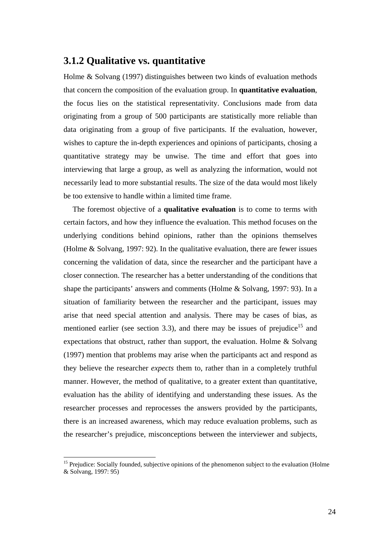### **3.1.2 Qualitative vs. quantitative**

Holme & Solvang (1997) distinguishes between two kinds of evaluation methods that concern the composition of the evaluation group. In **quantitative evaluation**, the focus lies on the statistical representativity. Conclusions made from data originating from a group of 500 participants are statistically more reliable than data originating from a group of five participants. If the evaluation, however, wishes to capture the in-depth experiences and opinions of participants, chosing a quantitative strategy may be unwise. The time and effort that goes into interviewing that large a group, as well as analyzing the information, would not necessarily lead to more substantial results. The size of the data would most likely be too extensive to handle within a limited time frame.

The foremost objective of a **qualitative evaluation** is to come to terms with certain factors, and how they influence the evaluation. This method focuses on the underlying conditions behind opinions, rather than the opinions themselves (Holme & Solvang, 1997: 92). In the qualitative evaluation, there are fewer issues concerning the validation of data, since the researcher and the participant have a closer connection. The researcher has a better understanding of the conditions that shape the participants' answers and comments (Holme & Solvang, 1997: 93). In a situation of familiarity between the researcher and the participant, issues may arise that need special attention and analysis. There may be cases of bias, as mentioned earlier (see section 3.3), and there may be issues of prejudice<sup>15</sup> and expectations that obstruct, rather than support, the evaluation. Holme & Solvang (1997) mention that problems may arise when the participants act and respond as they believe the researcher *expects* them to, rather than in a completely truthful manner. However, the method of qualitative, to a greater extent than quantitative, evaluation has the ability of identifying and understanding these issues. As the researcher processes and reprocesses the answers provided by the participants, there is an increased awareness, which may reduce evaluation problems, such as the researcher's prejudice, misconceptions between the interviewer and subjects,

 $\overline{a}$ 

<sup>&</sup>lt;sup>15</sup> Prejudice: Socially founded, subjective opinions of the phenomenon subject to the evaluation (Holme & Solvang, 1997: 95)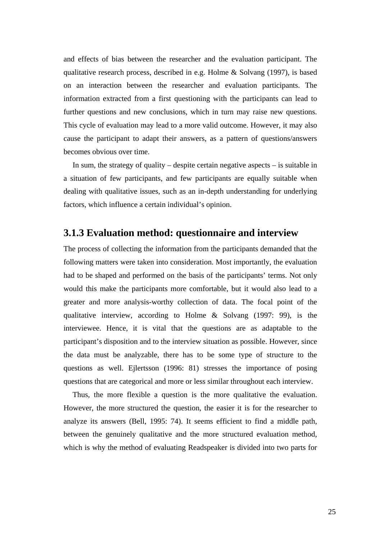and effects of bias between the researcher and the evaluation participant. The qualitative research process, described in e.g. Holme & Solvang (1997), is based on an interaction between the researcher and evaluation participants. The information extracted from a first questioning with the participants can lead to further questions and new conclusions, which in turn may raise new questions. This cycle of evaluation may lead to a more valid outcome. However, it may also cause the participant to adapt their answers, as a pattern of questions/answers becomes obvious over time.

In sum, the strategy of quality – despite certain negative aspects – is suitable in a situation of few participants, and few participants are equally suitable when dealing with qualitative issues, such as an in-depth understanding for underlying factors, which influence a certain individual's opinion.

#### **3.1.3 Evaluation method: questionnaire and interview**

The process of collecting the information from the participants demanded that the following matters were taken into consideration. Most importantly, the evaluation had to be shaped and performed on the basis of the participants' terms. Not only would this make the participants more comfortable, but it would also lead to a greater and more analysis-worthy collection of data. The focal point of the qualitative interview, according to Holme & Solvang (1997: 99), is the interviewee. Hence, it is vital that the questions are as adaptable to the participant's disposition and to the interview situation as possible. However, since the data must be analyzable, there has to be some type of structure to the questions as well. Ejlertsson (1996: 81) stresses the importance of posing questions that are categorical and more or less similar throughout each interview.

Thus, the more flexible a question is the more qualitative the evaluation. However, the more structured the question, the easier it is for the researcher to analyze its answers (Bell, 1995: 74). It seems efficient to find a middle path, between the genuinely qualitative and the more structured evaluation method, which is why the method of evaluating Readspeaker is divided into two parts for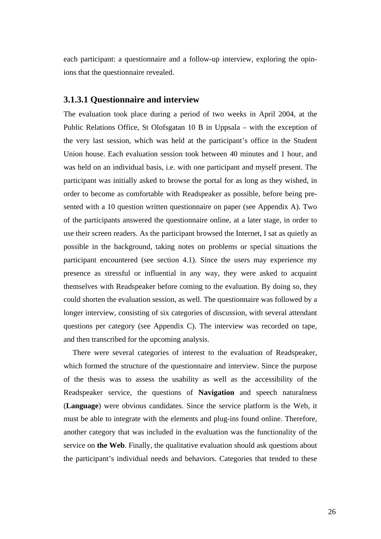each participant: a questionnaire and a follow-up interview, exploring the opinions that the questionnaire revealed.

#### **3.1.3.1 Questionnaire and interview**

The evaluation took place during a period of two weeks in April 2004, at the Public Relations Office, St Olofsgatan 10 B in Uppsala – with the exception of the very last session, which was held at the participant's office in the Student Union house. Each evaluation session took between 40 minutes and 1 hour, and was held on an individual basis, i.e. with one participant and myself present. The participant was initially asked to browse the portal for as long as they wished, in order to become as comfortable with Readspeaker as possible, before being presented with a 10 question written questionnaire on paper (see Appendix A). Two of the participants answered the questionnaire online, at a later stage, in order to use their screen readers. As the participant browsed the Internet, I sat as quietly as possible in the background, taking notes on problems or special situations the participant encountered (see section 4.1). Since the users may experience my presence as stressful or influential in any way, they were asked to acquaint themselves with Readspeaker before coming to the evaluation. By doing so, they could shorten the evaluation session, as well. The questionnaire was followed by a longer interview, consisting of six categories of discussion, with several attendant questions per category (see Appendix C). The interview was recorded on tape, and then transcribed for the upcoming analysis.

There were several categories of interest to the evaluation of Readspeaker, which formed the structure of the questionnaire and interview. Since the purpose of the thesis was to assess the usability as well as the accessibility of the Readspeaker service, the questions of **Navigation** and speech naturalness (**Language**) were obvious candidates. Since the service platform is the Web, it must be able to integrate with the elements and plug-ins found online. Therefore, another category that was included in the evaluation was the functionality of the service on **the Web**. Finally, the qualitative evaluation should ask questions about the participant's individual needs and behaviors. Categories that tended to these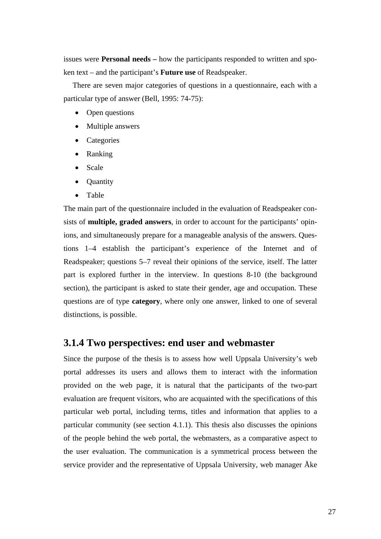issues were **Personal needs –** how the participants responded to written and spoken text – and the participant's **Future use** of Readspeaker.

There are seven major categories of questions in a questionnaire, each with a particular type of answer (Bell, 1995: 74-75):

- Open questions
- Multiple answers
- Categories
- Ranking
- Scale
- **Quantity**
- Table

The main part of the questionnaire included in the evaluation of Readspeaker consists of **multiple, graded answers**, in order to account for the participants' opinions, and simultaneously prepare for a manageable analysis of the answers. Questions 1–4 establish the participant's experience of the Internet and of Readspeaker; questions 5–7 reveal their opinions of the service, itself. The latter part is explored further in the interview. In questions 8-10 (the background section), the participant is asked to state their gender, age and occupation. These questions are of type **category**, where only one answer, linked to one of several distinctions, is possible.

#### **3.1.4 Two perspectives: end user and webmaster**

Since the purpose of the thesis is to assess how well Uppsala University's web portal addresses its users and allows them to interact with the information provided on the web page, it is natural that the participants of the two-part evaluation are frequent visitors, who are acquainted with the specifications of this particular web portal, including terms, titles and information that applies to a particular community (see section 4.1.1). This thesis also discusses the opinions of the people behind the web portal, the webmasters, as a comparative aspect to the user evaluation. The communication is a symmetrical process between the service provider and the representative of Uppsala University, web manager Åke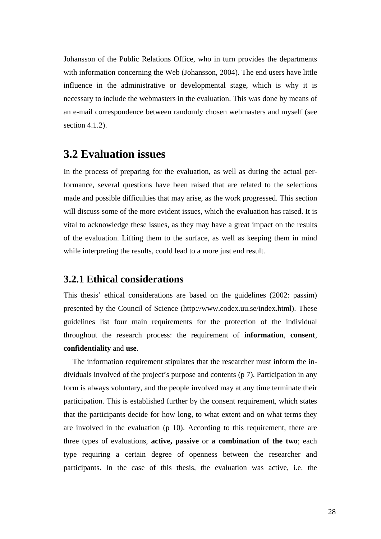Johansson of the Public Relations Office, who in turn provides the departments with information concerning the Web (Johansson, 2004). The end users have little influence in the administrative or developmental stage, which is why it is necessary to include the webmasters in the evaluation. This was done by means of an e-mail correspondence between randomly chosen webmasters and myself (see section 4.1.2).

# **3.2 Evaluation issues**

In the process of preparing for the evaluation, as well as during the actual performance, several questions have been raised that are related to the selections made and possible difficulties that may arise, as the work progressed. This section will discuss some of the more evident issues, which the evaluation has raised. It is vital to acknowledge these issues, as they may have a great impact on the results of the evaluation. Lifting them to the surface, as well as keeping them in mind while interpreting the results, could lead to a more just end result.

#### **3.2.1 Ethical considerations**

This thesis' ethical considerations are based on the guidelines (2002: passim) presented by the Council of Science (http://www.codex.uu.se/index.html). These guidelines list four main requirements for the protection of the individual throughout the research process: the requirement of **information**, **consent**, **confidentiality** and **use**.

The information requirement stipulates that the researcher must inform the individuals involved of the project's purpose and contents (p 7). Participation in any form is always voluntary, and the people involved may at any time terminate their participation. This is established further by the consent requirement, which states that the participants decide for how long, to what extent and on what terms they are involved in the evaluation (p 10). According to this requirement, there are three types of evaluations, **active, passive** or **a combination of the two**; each type requiring a certain degree of openness between the researcher and participants. In the case of this thesis, the evaluation was active, i.e. the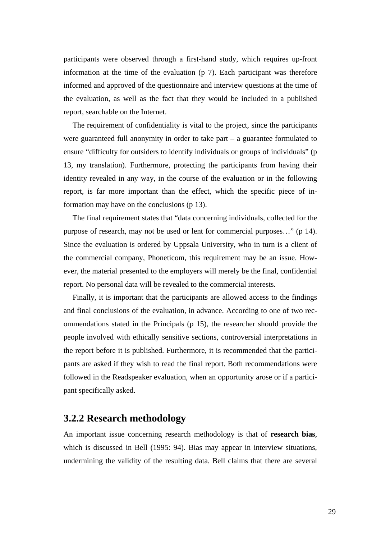participants were observed through a first-hand study, which requires up-front information at the time of the evaluation (p 7). Each participant was therefore informed and approved of the questionnaire and interview questions at the time of the evaluation, as well as the fact that they would be included in a published report, searchable on the Internet.

The requirement of confidentiality is vital to the project, since the participants were guaranteed full anonymity in order to take part – a guarantee formulated to ensure "difficulty for outsiders to identify individuals or groups of individuals" (p 13, my translation). Furthermore, protecting the participants from having their identity revealed in any way, in the course of the evaluation or in the following report, is far more important than the effect, which the specific piece of information may have on the conclusions (p 13).

The final requirement states that "data concerning individuals, collected for the purpose of research, may not be used or lent for commercial purposes…" (p 14). Since the evaluation is ordered by Uppsala University, who in turn is a client of the commercial company, Phoneticom, this requirement may be an issue. However, the material presented to the employers will merely be the final, confidential report. No personal data will be revealed to the commercial interests.

Finally, it is important that the participants are allowed access to the findings and final conclusions of the evaluation, in advance. According to one of two recommendations stated in the Principals (p 15), the researcher should provide the people involved with ethically sensitive sections, controversial interpretations in the report before it is published. Furthermore, it is recommended that the participants are asked if they wish to read the final report. Both recommendations were followed in the Readspeaker evaluation, when an opportunity arose or if a participant specifically asked.

### **3.2.2 Research methodology**

An important issue concerning research methodology is that of **research bias**, which is discussed in Bell (1995: 94). Bias may appear in interview situations, undermining the validity of the resulting data. Bell claims that there are several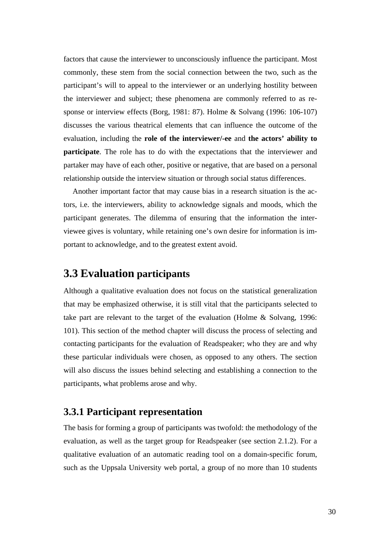factors that cause the interviewer to unconsciously influence the participant. Most commonly, these stem from the social connection between the two, such as the participant's will to appeal to the interviewer or an underlying hostility between the interviewer and subject; these phenomena are commonly referred to as response or interview effects (Borg, 1981: 87). Holme & Solvang (1996: 106-107) discusses the various theatrical elements that can influence the outcome of the evaluation, including the **role of the interviewer/-ee** and **the actors' ability to participate**. The role has to do with the expectations that the interviewer and partaker may have of each other, positive or negative, that are based on a personal relationship outside the interview situation or through social status differences.

Another important factor that may cause bias in a research situation is the actors, i.e. the interviewers, ability to acknowledge signals and moods, which the participant generates. The dilemma of ensuring that the information the interviewee gives is voluntary, while retaining one's own desire for information is important to acknowledge, and to the greatest extent avoid.

# **3.3 Evaluation participants**

Although a qualitative evaluation does not focus on the statistical generalization that may be emphasized otherwise, it is still vital that the participants selected to take part are relevant to the target of the evaluation (Holme & Solvang, 1996: 101). This section of the method chapter will discuss the process of selecting and contacting participants for the evaluation of Readspeaker; who they are and why these particular individuals were chosen, as opposed to any others. The section will also discuss the issues behind selecting and establishing a connection to the participants, what problems arose and why.

### **3.3.1 Participant representation**

The basis for forming a group of participants was twofold: the methodology of the evaluation, as well as the target group for Readspeaker (see section 2.1.2). For a qualitative evaluation of an automatic reading tool on a domain-specific forum, such as the Uppsala University web portal, a group of no more than 10 students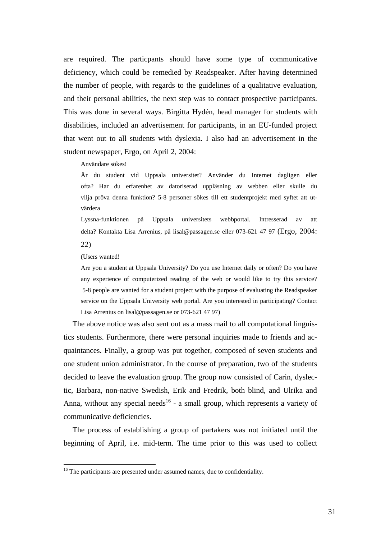are required. The particpants should have some type of communicative deficiency, which could be remedied by Readspeaker. After having determined the number of people, with regards to the guidelines of a qualitative evaluation, and their personal abilities, the next step was to contact prospective participants. This was done in several ways. Birgitta Hydén, head manager for students with disabilities, included an advertisement for participants, in an EU-funded project that went out to all students with dyslexia. I also had an advertisement in the student newspaper, Ergo, on April 2, 2004:

#### Användare sökes!

Är du student vid Uppsala universitet? Använder du Internet dagligen eller ofta? Har du erfarenhet av datoriserad uppläsning av webben eller skulle du vilja pröva denna funktion? 5-8 personer sökes till ett studentprojekt med syftet att utvärdera

Lyssna-funktionen på Uppsala universitets webbportal. Intresserad av att delta? Kontakta Lisa Arrenius, på lisal@passagen.se eller 073-621 47 97 (Ergo, 2004: 22)

(Users wanted!

 $\overline{a}$ 

Are you a student at Uppsala University? Do you use Internet daily or often? Do you have any experience of computerized reading of the web or would like to try this service? 5-8 people are wanted for a student project with the purpose of evaluating the Readspeaker service on the Uppsala University web portal. Are you interested in participating? Contact Lisa Arrenius on lisal@passagen.se or 073-621 47 97)

The above notice was also sent out as a mass mail to all computational linguistics students. Furthermore, there were personal inquiries made to friends and acquaintances. Finally, a group was put together, composed of seven students and one student union administrator. In the course of preparation, two of the students decided to leave the evaluation group. The group now consisted of Carin, dyslectic, Barbara, non-native Swedish, Erik and Fredrik, both blind, and Ulrika and Anna, without any special needs<sup>16</sup> - a small group, which represents a variety of communicative deficiencies.

The process of establishing a group of partakers was not initiated until the beginning of April, i.e. mid-term. The time prior to this was used to collect

<sup>&</sup>lt;sup>16</sup> The participants are presented under assumed names, due to confidentiality.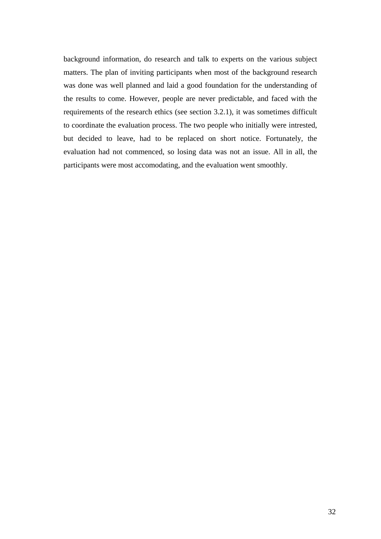background information, do research and talk to experts on the various subject matters. The plan of inviting participants when most of the background research was done was well planned and laid a good foundation for the understanding of the results to come. However, people are never predictable, and faced with the requirements of the research ethics (see section 3.2.1), it was sometimes difficult to coordinate the evaluation process. The two people who initially were intrested, but decided to leave, had to be replaced on short notice. Fortunately, the evaluation had not commenced, so losing data was not an issue. All in all, the participants were most accomodating, and the evaluation went smoothly.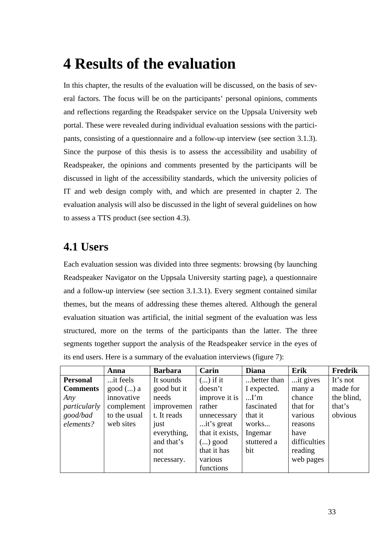# **4 Results of the evaluation**

In this chapter, the results of the evaluation will be discussed, on the basis of several factors. The focus will be on the participants' personal opinions, comments and reflections regarding the Readspaker service on the Uppsala University web portal. These were revealed during individual evaluation sessions with the participants, consisting of a questionnaire and a follow-up interview (see section 3.1.3). Since the purpose of this thesis is to assess the accessibility and usability of Readspeaker, the opinions and comments presented by the participants will be discussed in light of the accessibility standards, which the university policies of IT and web design comply with, and which are presented in chapter 2. The evaluation analysis will also be discussed in the light of several guidelines on how to assess a TTS product (see section 4.3).

# **4.1 Users**

Each evaluation session was divided into three segments: browsing (by launching Readspeaker Navigator on the Uppsala University starting page), a questionnaire and a follow-up interview (see section 3.1.3.1). Every segment contained similar themes, but the means of addressing these themes altered. Although the general evaluation situation was artificial, the initial segment of the evaluation was less structured, more on the terms of the participants than the latter. The three segments together support the analysis of the Readspeaker service in the eyes of its end users. Here is a summary of the evaluation interviews (figure 7):

|                 | Anna          | <b>Barbara</b> | Carin           | <b>Diana</b> | Erik         | Fredrik    |
|-----------------|---------------|----------------|-----------------|--------------|--------------|------------|
| <b>Personal</b> | it feels.     | It sounds      | $()$ if it      | better than  | it gives     | It's not   |
| <b>Comments</b> | $good$ () $a$ | good but it    | doesn't         | I expected.  | many a       | made for   |
| Any             | innovative    | needs          | improve it is   | $\ldots$ I'm | chance       | the blind, |
| particularly    | complement    | improvemen     | rather          | fascinated   | that for     | that's     |
| good/bad        | to the usual  | t. It reads    | unnecessary     | that it      | various      | obvious    |
| elements?       | web sites     | just           | it's great      | works        | reasons      |            |
|                 |               | everything,    | that it exists, | Ingemar      | have         |            |
|                 |               | and that's     | $()$ good       | stuttered a  | difficulties |            |
|                 |               | not            | that it has     | bit          | reading      |            |
|                 |               | necessary.     | various         |              | web pages    |            |
|                 |               |                | functions       |              |              |            |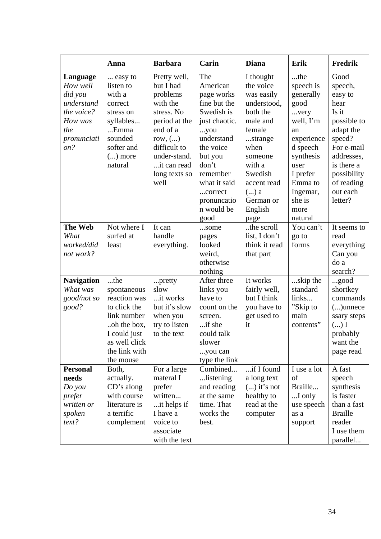|                                                                                                     | Anna                                                                                                                                             | <b>Barbara</b>                                                                                                                                                                    | Carin                                                                                                                                                                                                          | <b>Diana</b>                                                                                                                                                                                      | Erik                                                                                                                                                                            | Fredrik                                                                                                                                                                         |
|-----------------------------------------------------------------------------------------------------|--------------------------------------------------------------------------------------------------------------------------------------------------|-----------------------------------------------------------------------------------------------------------------------------------------------------------------------------------|----------------------------------------------------------------------------------------------------------------------------------------------------------------------------------------------------------------|---------------------------------------------------------------------------------------------------------------------------------------------------------------------------------------------------|---------------------------------------------------------------------------------------------------------------------------------------------------------------------------------|---------------------------------------------------------------------------------------------------------------------------------------------------------------------------------|
| Language<br>How well<br>did you<br>understand<br>the voice?<br>How was<br>the<br>pronunciati<br>on? | easy to<br>listen to<br>with a<br>correct<br>stress on<br>syllables<br>Emma<br>sounded<br>softer and<br>$()$ more<br>natural                     | Pretty well,<br>but I had<br>problems<br>with the<br>stress. No<br>period at the<br>end of a<br>row, $()$<br>difficult to<br>under-stand.<br>it can read<br>long texts so<br>well | The<br>American<br>page works<br>fine but the<br>Swedish is<br>just chaotic.<br>you<br>understand<br>the voice<br>but you<br>don't<br>remember<br>what it said<br>correct<br>pronuncatio<br>n would be<br>good | I thought<br>the voice<br>was easily<br>understood,<br>both the<br>male and<br>female<br>strange<br>when<br>someone<br>with a<br>Swedish<br>accent read<br>$()$ a<br>German or<br>English<br>page | the<br>speech is<br>generally<br>good<br>very<br>well, I'm<br>an<br>experience<br>d speech<br>synthesis<br>user<br>I prefer<br>Emma to<br>Ingemar,<br>she is<br>more<br>natural | Good<br>speech,<br>easy to<br>hear<br>Is it<br>possible to<br>adapt the<br>speed?<br>For e-mail<br>addresses,<br>is there a<br>possibility<br>of reading<br>out each<br>letter? |
| <b>The Web</b><br>What<br>worked/did<br>not work?                                                   | Not where I<br>surfed at<br>least                                                                                                                | It can<br>handle<br>everything.                                                                                                                                                   | some<br>pages<br>looked<br>weird,<br>otherwise<br>nothing                                                                                                                                                      | the scroll<br>list, I don't<br>think it read<br>that part                                                                                                                                         | You can't<br>go to<br>forms                                                                                                                                                     | It seems to<br>read<br>everything<br>Can you<br>do a<br>search?                                                                                                                 |
| <b>Navigation</b><br>What was<br>good/not so<br>good?                                               | the<br>spontaneous<br>reaction was<br>to click the<br>link number<br>.oh the box,<br>I could just<br>as well click<br>the link with<br>the mouse | pretty<br>slow<br>it works<br>but it's slow<br>when you<br>try to listen<br>to the text                                                                                           | After three<br>links you<br>have to<br>count on the<br>screen.<br>if she<br>could talk<br>slower<br>you can<br>type the link                                                                                   | It works<br>fairly well,<br>but I think<br>you have to<br>get used to<br>it                                                                                                                       | skip the<br>standard<br>links<br>"Skip to<br>main<br>contents"                                                                                                                  | good<br>shortkey<br>commands<br>$()$ unnece<br>ssary steps<br>$\ldots$ ) I<br>probably<br>want the<br>page read                                                                 |
| <b>Personal</b><br>needs<br>Do you<br>prefer<br>written or<br>spoken<br>text?                       | Both,<br>actually.<br>CD's along<br>with course<br>literature is<br>a terrific<br>complement                                                     | For a large<br>materal I<br>prefer<br>written<br>it helps if<br>I have a<br>voice to<br>associate<br>with the text                                                                | Combined<br>listening<br>and reading<br>at the same<br>time. That<br>works the<br>best.                                                                                                                        | if I found<br>a long text<br>$()$ it's not<br>healthy to<br>read at the<br>computer                                                                                                               | I use a lot<br>of<br>Braille<br>I only<br>use speech<br>as a<br>support                                                                                                         | A fast<br>speech<br>synthesis<br>is faster<br>than a fast<br><b>Braille</b><br>reader<br>I use them<br>parallel                                                                 |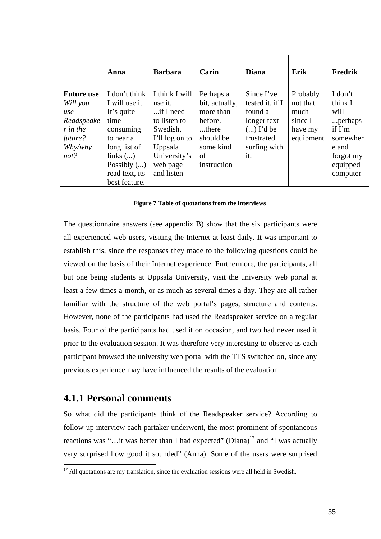|                   | Anna           | <b>Barbara</b> | Carin          | <b>Diana</b>    | Erik      | <b>Fredrik</b> |
|-------------------|----------------|----------------|----------------|-----------------|-----------|----------------|
| <b>Future use</b> | I don't think  | I think I will | Perhaps a      | Since I've      | Probably  | I don't        |
| Will you          | I will use it. | use it.        | bit, actually, | tested it, if I | not that  | think I        |
| use               | It's quite     | $$ if I need   | more than      | found a         | much      | will           |
| Readspeake        | time-          | to listen to   | before.        | longer text     | since I   | perhaps        |
| r in the          | consuming      | Swedish,       | there          | $()$ I'd be     | have my   | if I'm         |
| future?           | to hear a      | I'll log on to | should be      | frustrated      | equipment | somewher       |
| Why/why           | long list of   | Uppsala        | some kind      | surfing with    |           | e and          |
| not?              | links $()$     | University's   | of             | it.             |           | forgot my      |
|                   | Possibly $()$  | web page       | instruction    |                 |           | equipped       |
|                   | read text, its | and listen     |                |                 |           | computer       |
|                   | best feature.  |                |                |                 |           |                |

#### **Figure 7 Table of quotations from the interviews**

The questionnaire answers (see appendix B) show that the six participants were all experienced web users, visiting the Internet at least daily. It was important to establish this, since the responses they made to the following questions could be viewed on the basis of their Internet experience. Furthermore, the participants, all but one being students at Uppsala University, visit the university web portal at least a few times a month, or as much as several times a day. They are all rather familiar with the structure of the web portal's pages, structure and contents. However, none of the participants had used the Readspeaker service on a regular basis. Four of the participants had used it on occasion, and two had never used it prior to the evaluation session. It was therefore very interesting to observe as each participant browsed the university web portal with the TTS switched on, since any previous experience may have influenced the results of the evaluation.

#### **4.1.1 Personal comments**

 $\overline{a}$ 

So what did the participants think of the Readspeaker service? According to follow-up interview each partaker underwent, the most prominent of spontaneous reactions was "...it was better than I had expected" (Diana)<sup>17</sup> and "I was actually very surprised how good it sounded" (Anna). Some of the users were surprised

 $17$  All quotations are my translation, since the evaluation sessions were all held in Swedish.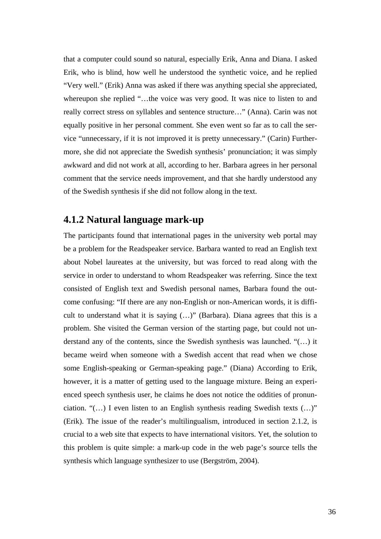that a computer could sound so natural, especially Erik, Anna and Diana. I asked Erik, who is blind, how well he understood the synthetic voice, and he replied "Very well." (Erik) Anna was asked if there was anything special she appreciated, whereupon she replied "...the voice was very good. It was nice to listen to and really correct stress on syllables and sentence structure…" (Anna). Carin was not equally positive in her personal comment. She even went so far as to call the service "unnecessary, if it is not improved it is pretty unnecessary." (Carin) Furthermore, she did not appreciate the Swedish synthesis' pronunciation; it was simply awkward and did not work at all, according to her. Barbara agrees in her personal comment that the service needs improvement, and that she hardly understood any of the Swedish synthesis if she did not follow along in the text.

# **4.1.2 Natural language mark-up**

The participants found that international pages in the university web portal may be a problem for the Readspeaker service. Barbara wanted to read an English text about Nobel laureates at the university, but was forced to read along with the service in order to understand to whom Readspeaker was referring. Since the text consisted of English text and Swedish personal names, Barbara found the outcome confusing: "If there are any non-English or non-American words, it is difficult to understand what it is saying (…)" (Barbara). Diana agrees that this is a problem. She visited the German version of the starting page, but could not understand any of the contents, since the Swedish synthesis was launched. "(…) it became weird when someone with a Swedish accent that read when we chose some English-speaking or German-speaking page." (Diana) According to Erik, however, it is a matter of getting used to the language mixture. Being an experienced speech synthesis user, he claims he does not notice the oddities of pronunciation. "(…) I even listen to an English synthesis reading Swedish texts (…)" (Erik). The issue of the reader's multilingualism, introduced in section 2.1.2, is crucial to a web site that expects to have international visitors. Yet, the solution to this problem is quite simple: a mark-up code in the web page's source tells the synthesis which language synthesizer to use (Bergström, 2004).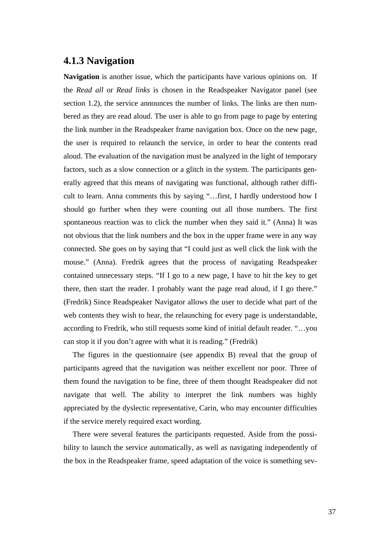## **4.1.3 Navigation**

**Navigation** is another issue, which the participants have various opinions on. If the *Read all* or *Read links* is chosen in the Readspeaker Navigator panel (see section 1.2), the service announces the number of links. The links are then numbered as they are read aloud. The user is able to go from page to page by entering the link number in the Readspeaker frame navigation box. Once on the new page, the user is required to relaunch the service, in order to hear the contents read aloud. The evaluation of the navigation must be analyzed in the light of temporary factors, such as a slow connection or a glitch in the system. The participants generally agreed that this means of navigating was functional, although rather difficult to learn. Anna comments this by saying "…first, I hardly understood how I should go further when they were counting out all those numbers. The first spontaneous reaction was to click the number when they said it." (Anna) It was not obvious that the link numbers and the box in the upper frame were in any way connected. She goes on by saying that "I could just as well click the link with the mouse." (Anna). Fredrik agrees that the process of navigating Readspeaker contained unnecessary steps. "If I go to a new page, I have to hit the key to get there, then start the reader. I probably want the page read aloud, if I go there." (Fredrik) Since Readspeaker Navigator allows the user to decide what part of the web contents they wish to hear, the relaunching for every page is understandable, according to Fredrik, who still requests some kind of initial default reader. "…you can stop it if you don't agree with what it is reading." (Fredrik)

The figures in the questionnaire (see appendix B) reveal that the group of participants agreed that the navigation was neither excellent nor poor. Three of them found the navigation to be fine, three of them thought Readspeaker did not navigate that well. The ability to interpret the link numbers was highly appreciated by the dyslectic representative, Carin, who may encounter difficulties if the service merely required exact wording.

There were several features the participants requested. Aside from the possibility to launch the service automatically, as well as navigating independently of the box in the Readspeaker frame, speed adaptation of the voice is something sev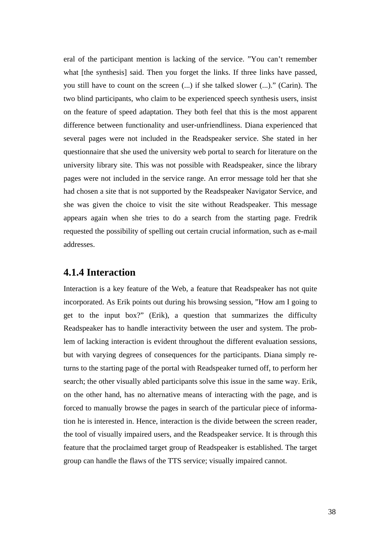eral of the participant mention is lacking of the service. "You can't remember what [the synthesis] said. Then you forget the links. If three links have passed, you still have to count on the screen (...) if she talked slower (...)." (Carin). The two blind participants, who claim to be experienced speech synthesis users, insist on the feature of speed adaptation. They both feel that this is the most apparent difference between functionality and user-unfriendliness. Diana experienced that several pages were not included in the Readspeaker service. She stated in her questionnaire that she used the university web portal to search for literature on the university library site. This was not possible with Readspeaker, since the library pages were not included in the service range. An error message told her that she had chosen a site that is not supported by the Readspeaker Navigator Service, and she was given the choice to visit the site without Readspeaker. This message appears again when she tries to do a search from the starting page. Fredrik requested the possibility of spelling out certain crucial information, such as e-mail addresses.

#### **4.1.4 Interaction**

Interaction is a key feature of the Web, a feature that Readspeaker has not quite incorporated. As Erik points out during his browsing session, "How am I going to get to the input box?" (Erik), a question that summarizes the difficulty Readspeaker has to handle interactivity between the user and system. The problem of lacking interaction is evident throughout the different evaluation sessions, but with varying degrees of consequences for the participants. Diana simply returns to the starting page of the portal with Readspeaker turned off, to perform her search; the other visually abled participants solve this issue in the same way. Erik, on the other hand, has no alternative means of interacting with the page, and is forced to manually browse the pages in search of the particular piece of information he is interested in. Hence, interaction is the divide between the screen reader, the tool of visually impaired users, and the Readspeaker service. It is through this feature that the proclaimed target group of Readspeaker is established. The target group can handle the flaws of the TTS service; visually impaired cannot.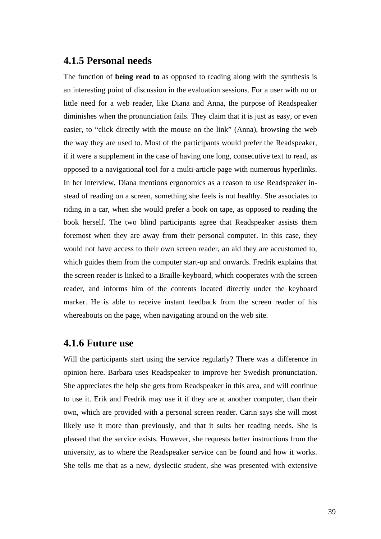### **4.1.5 Personal needs**

The function of **being read to** as opposed to reading along with the synthesis is an interesting point of discussion in the evaluation sessions. For a user with no or little need for a web reader, like Diana and Anna, the purpose of Readspeaker diminishes when the pronunciation fails. They claim that it is just as easy, or even easier, to "click directly with the mouse on the link" (Anna), browsing the web the way they are used to. Most of the participants would prefer the Readspeaker, if it were a supplement in the case of having one long, consecutive text to read, as opposed to a navigational tool for a multi-article page with numerous hyperlinks. In her interview, Diana mentions ergonomics as a reason to use Readspeaker instead of reading on a screen, something she feels is not healthy. She associates to riding in a car, when she would prefer a book on tape, as opposed to reading the book herself. The two blind participants agree that Readspeaker assists them foremost when they are away from their personal computer. In this case, they would not have access to their own screen reader, an aid they are accustomed to, which guides them from the computer start-up and onwards. Fredrik explains that the screen reader is linked to a Braille-keyboard, which cooperates with the screen reader, and informs him of the contents located directly under the keyboard marker. He is able to receive instant feedback from the screen reader of his whereabouts on the page, when navigating around on the web site.

#### **4.1.6 Future use**

Will the participants start using the service regularly? There was a difference in opinion here. Barbara uses Readspeaker to improve her Swedish pronunciation. She appreciates the help she gets from Readspeaker in this area, and will continue to use it. Erik and Fredrik may use it if they are at another computer, than their own, which are provided with a personal screen reader. Carin says she will most likely use it more than previously, and that it suits her reading needs. She is pleased that the service exists. However, she requests better instructions from the university, as to where the Readspeaker service can be found and how it works. She tells me that as a new, dyslectic student, she was presented with extensive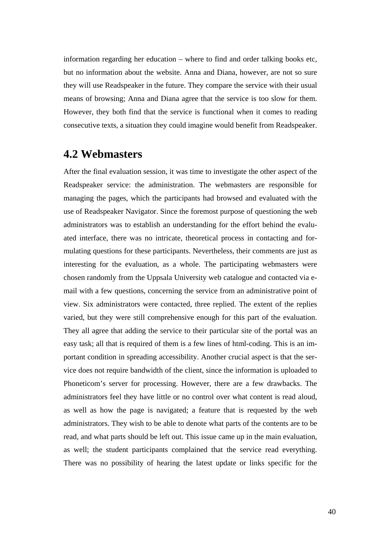information regarding her education – where to find and order talking books etc, but no information about the website. Anna and Diana, however, are not so sure they will use Readspeaker in the future. They compare the service with their usual means of browsing; Anna and Diana agree that the service is too slow for them. However, they both find that the service is functional when it comes to reading consecutive texts, a situation they could imagine would benefit from Readspeaker.

# **4.2 Webmasters**

After the final evaluation session, it was time to investigate the other aspect of the Readspeaker service: the administration. The webmasters are responsible for managing the pages, which the participants had browsed and evaluated with the use of Readspeaker Navigator. Since the foremost purpose of questioning the web administrators was to establish an understanding for the effort behind the evaluated interface, there was no intricate, theoretical process in contacting and formulating questions for these participants. Nevertheless, their comments are just as interesting for the evaluation, as a whole. The participating webmasters were chosen randomly from the Uppsala University web catalogue and contacted via email with a few questions, concerning the service from an administrative point of view. Six administrators were contacted, three replied. The extent of the replies varied, but they were still comprehensive enough for this part of the evaluation. They all agree that adding the service to their particular site of the portal was an easy task; all that is required of them is a few lines of html-coding. This is an important condition in spreading accessibility. Another crucial aspect is that the service does not require bandwidth of the client, since the information is uploaded to Phoneticom's server for processing. However, there are a few drawbacks. The administrators feel they have little or no control over what content is read aloud, as well as how the page is navigated; a feature that is requested by the web administrators. They wish to be able to denote what parts of the contents are to be read, and what parts should be left out. This issue came up in the main evaluation, as well; the student participants complained that the service read everything. There was no possibility of hearing the latest update or links specific for the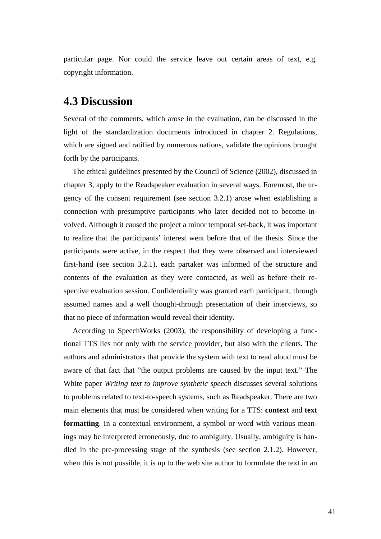particular page. Nor could the service leave out certain areas of text, e.g. copyright information.

## **4.3 Discussion**

Several of the comments, which arose in the evaluation, can be discussed in the light of the standardization documents introduced in chapter 2. Regulations, which are signed and ratified by numerous nations, validate the opinions brought forth by the participants.

The ethical guidelines presented by the Council of Science (2002), discussed in chapter 3, apply to the Readspeaker evaluation in several ways. Foremost, the urgency of the consent requirement (see section 3.2.1) arose when establishing a connection with presumptive participants who later decided not to become involved. Although it caused the project a minor temporal set-back, it was important to realize that the participants' interest went before that of the thesis. Since the participants were active, in the respect that they were observed and interviewed first-hand (see section 3.2.1), each partaker was informed of the structure and contents of the evaluation as they were contacted, as well as before their respective evaluation session. Confidentiality was granted each participant, through assumed names and a well thought-through presentation of their interviews, so that no piece of information would reveal their identity.

According to SpeechWorks (2003), the responsibility of developing a functional TTS lies not only with the service provider, but also with the clients. The authors and administrators that provide the system with text to read aloud must be aware of that fact that "the output problems are caused by the input text." The White paper *Writing text to improve synthetic speech* discusses several solutions to problems related to text-to-speech systems, such as Readspeaker. There are two main elements that must be considered when writing for a TTS: **context** and **text formatting**. In a contextual environment, a symbol or word with various meanings may be interpreted erroneously, due to ambiguity. Usually, ambiguity is handled in the pre-processing stage of the synthesis (see section 2.1.2). However, when this is not possible, it is up to the web site author to formulate the text in an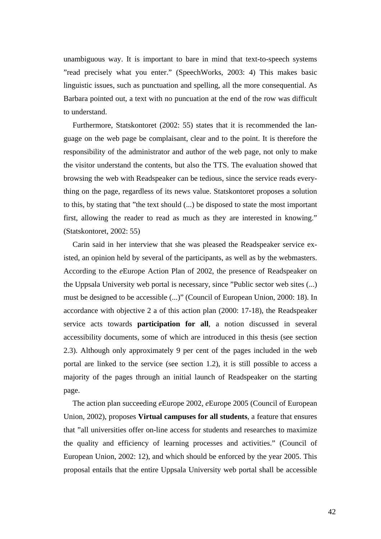unambiguous way. It is important to bare in mind that text-to-speech systems "read precisely what you enter." (SpeechWorks, 2003: 4) This makes basic linguistic issues, such as punctuation and spelling, all the more consequential. As Barbara pointed out, a text with no puncuation at the end of the row was difficult to understand.

Furthermore, Statskontoret (2002: 55) states that it is recommended the language on the web page be complaisant, clear and to the point. It is therefore the responsibility of the administrator and author of the web page, not only to make the visitor understand the contents, but also the TTS. The evaluation showed that browsing the web with Readspeaker can be tedious, since the service reads everything on the page, regardless of its news value. Statskontoret proposes a solution to this, by stating that "the text should (...) be disposed to state the most important first, allowing the reader to read as much as they are interested in knowing." (Statskontoret, 2002: 55)

Carin said in her interview that she was pleased the Readspeaker service existed, an opinion held by several of the participants, as well as by the webmasters. According to the *e*Europe Action Plan of 2002, the presence of Readspeaker on the Uppsala University web portal is necessary, since "Public sector web sites (...) must be designed to be accessible (...)" (Council of European Union, 2000: 18). In accordance with objective 2 a of this action plan (2000: 17-18), the Readspeaker service acts towards **participation for all**, a notion discussed in several accessibility documents, some of which are introduced in this thesis (see section 2.3). Although only approximately 9 per cent of the pages included in the web portal are linked to the service (see section 1.2), it is still possible to access a majority of the pages through an initial launch of Readspeaker on the starting page.

The action plan succeeding *e*Europe 2002, *e*Europe 2005 (Council of European Union, 2002), proposes **Virtual campuses for all students**, a feature that ensures that "all universities offer on-line access for students and researches to maximize the quality and efficiency of learning processes and activities." (Council of European Union, 2002: 12), and which should be enforced by the year 2005. This proposal entails that the entire Uppsala University web portal shall be accessible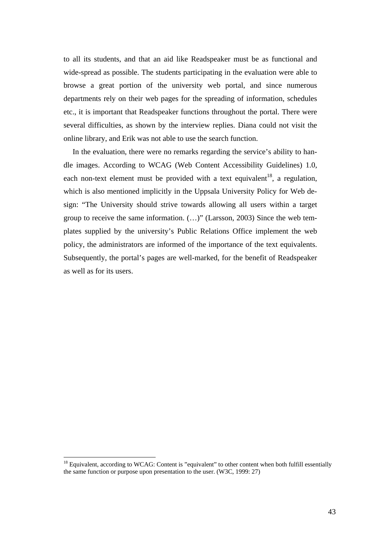to all its students, and that an aid like Readspeaker must be as functional and wide-spread as possible. The students participating in the evaluation were able to browse a great portion of the university web portal, and since numerous departments rely on their web pages for the spreading of information, schedules etc., it is important that Readspeaker functions throughout the portal. There were several difficulties, as shown by the interview replies. Diana could not visit the online library, and Erik was not able to use the search function.

In the evaluation, there were no remarks regarding the service's ability to handle images. According to WCAG (Web Content Accessibility Guidelines) 1.0, each non-text element must be provided with a text equivalent<sup>18</sup>, a regulation, which is also mentioned implicitly in the Uppsala University Policy for Web design: "The University should strive towards allowing all users within a target group to receive the same information. (…)" (Larsson, 2003) Since the web templates supplied by the university's Public Relations Office implement the web policy, the administrators are informed of the importance of the text equivalents. Subsequently, the portal's pages are well-marked, for the benefit of Readspeaker as well as for its users.

 $\overline{a}$ 

 $18$  Equivalent, according to WCAG: Content is "equivalent" to other content when both fulfill essentially the same function or purpose upon presentation to the user. (W3C, 1999: 27)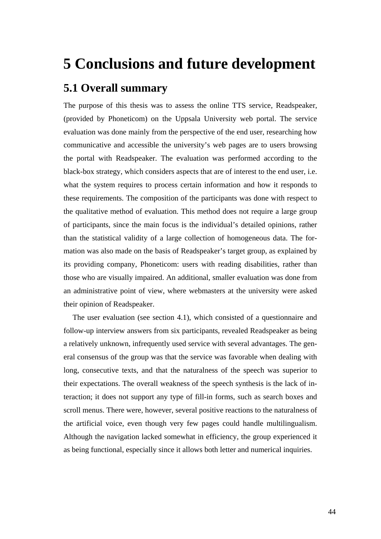# **5 Conclusions and future development**

# **5.1 Overall summary**

The purpose of this thesis was to assess the online TTS service, Readspeaker, (provided by Phoneticom) on the Uppsala University web portal. The service evaluation was done mainly from the perspective of the end user, researching how communicative and accessible the university's web pages are to users browsing the portal with Readspeaker. The evaluation was performed according to the black-box strategy, which considers aspects that are of interest to the end user, i.e. what the system requires to process certain information and how it responds to these requirements. The composition of the participants was done with respect to the qualitative method of evaluation. This method does not require a large group of participants, since the main focus is the individual's detailed opinions, rather than the statistical validity of a large collection of homogeneous data. The formation was also made on the basis of Readspeaker's target group, as explained by its providing company, Phoneticom: users with reading disabilities, rather than those who are visually impaired. An additional, smaller evaluation was done from an administrative point of view, where webmasters at the university were asked their opinion of Readspeaker.

The user evaluation (see section 4.1), which consisted of a questionnaire and follow-up interview answers from six participants, revealed Readspeaker as being a relatively unknown, infrequently used service with several advantages. The general consensus of the group was that the service was favorable when dealing with long, consecutive texts, and that the naturalness of the speech was superior to their expectations. The overall weakness of the speech synthesis is the lack of interaction; it does not support any type of fill-in forms, such as search boxes and scroll menus. There were, however, several positive reactions to the naturalness of the artificial voice, even though very few pages could handle multilingualism. Although the navigation lacked somewhat in efficiency, the group experienced it as being functional, especially since it allows both letter and numerical inquiries.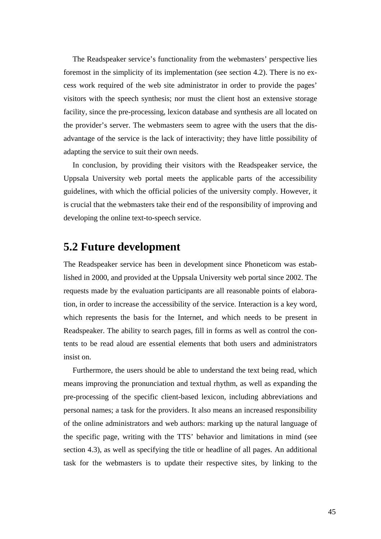The Readspeaker service's functionality from the webmasters' perspective lies foremost in the simplicity of its implementation (see section 4.2). There is no excess work required of the web site administrator in order to provide the pages' visitors with the speech synthesis; nor must the client host an extensive storage facility, since the pre-processing, lexicon database and synthesis are all located on the provider's server. The webmasters seem to agree with the users that the disadvantage of the service is the lack of interactivity; they have little possibility of adapting the service to suit their own needs.

In conclusion, by providing their visitors with the Readspeaker service, the Uppsala University web portal meets the applicable parts of the accessibility guidelines, with which the official policies of the university comply. However, it is crucial that the webmasters take their end of the responsibility of improving and developing the online text-to-speech service.

# **5.2 Future development**

The Readspeaker service has been in development since Phoneticom was established in 2000, and provided at the Uppsala University web portal since 2002. The requests made by the evaluation participants are all reasonable points of elaboration, in order to increase the accessibility of the service. Interaction is a key word, which represents the basis for the Internet, and which needs to be present in Readspeaker. The ability to search pages, fill in forms as well as control the contents to be read aloud are essential elements that both users and administrators insist on.

Furthermore, the users should be able to understand the text being read, which means improving the pronunciation and textual rhythm, as well as expanding the pre-processing of the specific client-based lexicon, including abbreviations and personal names; a task for the providers. It also means an increased responsibility of the online administrators and web authors: marking up the natural language of the specific page, writing with the TTS' behavior and limitations in mind (see section 4.3), as well as specifying the title or headline of all pages. An additional task for the webmasters is to update their respective sites, by linking to the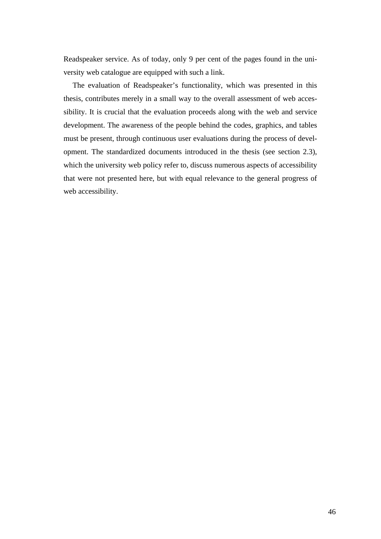Readspeaker service. As of today, only 9 per cent of the pages found in the university web catalogue are equipped with such a link.

The evaluation of Readspeaker's functionality, which was presented in this thesis, contributes merely in a small way to the overall assessment of web accessibility. It is crucial that the evaluation proceeds along with the web and service development. The awareness of the people behind the codes, graphics, and tables must be present, through continuous user evaluations during the process of development. The standardized documents introduced in the thesis (see section 2.3), which the university web policy refer to, discuss numerous aspects of accessibility that were not presented here, but with equal relevance to the general progress of web accessibility.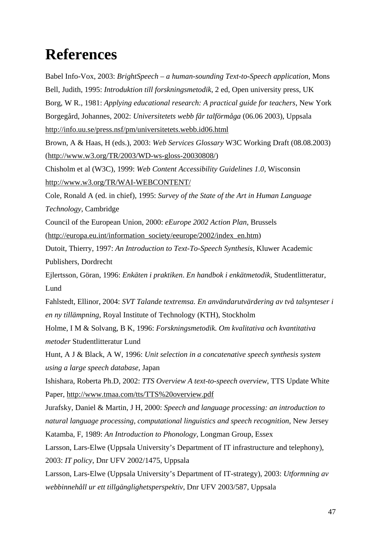# **References**

Babel Info-Vox, 2003: *BrightSpeech – a human-sounding Text-to-Speech application*, Mons Bell, Judith, 1995: *Introduktion till forskningsmetodik*, 2 ed, Open university press, UK Borg, W R., 1981: *Applying educational research: A practical guide for teachers*, New York Borgegård, Johannes, 2002: *Universitetets webb får talförmåga* (06.06 2003), Uppsala http://info.uu.se/press.nsf/pm/universitetets.webb.id06.html Brown, A & Haas, H (eds.), 2003: *Web Services Glossary* W3C Working Draft (08.08.2003) (http://www.w3.org/TR/2003/WD-ws-gloss-20030808/) Chisholm et al (W3C), 1999: *Web Content Accessibility Guidelines 1.0*, Wisconsin http://www.w3.org/TR/WAI-WEBCONTENT/ Cole, Ronald A (ed. in chief), 1995: *Survey of the State of the Art in Human Language Technology*, Cambridge Council of the European Union, 2000: *eEurope 2002 Action Plan*, Brussels (http://europa.eu.int/information\_society/eeurope/2002/index\_en.htm) Dutoit, Thierry, 1997: *An Introduction to Text-To-Speech Synthesis*, Kluwer Academic Publishers, Dordrecht Ejlertsson, Göran, 1996: *Enkäten i praktiken*. *En handbok i enkätmetodik*, Studentlitteratur, Lund Fahlstedt, Ellinor, 2004: *SVT Talande textremsa. En användarutvärdering av två talsynteser i en ny tillämpning*, Royal Institute of Technology (KTH), Stockholm Holme, I M & Solvang, B K, 1996: *Forskningsmetodik. Om kvalitativa och kvantitativa metoder* Studentlitteratur Lund Hunt, A J & Black, A W, 1996: *Unit selection in a concatenative speech synthesis system using a large speech database*, Japan Ishishara, Roberta Ph.D, 2002: *TTS Overview A text-to-speech overview*, TTS Update White Paper, http://www.tmaa.com/tts/TTS%20overview.pdf Jurafsky, Daniel & Martin, J H, 2000: *Speech and language processing: an introduction to natural language processing, computational linguistics and speech recognition*, New Jersey Katamba, F, 1989: *An Introduction to Phonology*, Longman Group, Essex Larsson, Lars-Elwe (Uppsala University's Department of IT infrastructure and telephony), 2003: *IT policy*, Dnr UFV 2002/1475, Uppsala Larsson, Lars-Elwe (Uppsala University's Department of IT-strategy), 2003: *Utformning av webbinnehåll ur ett tillgänglighetsperspektiv*, Dnr UFV 2003/587, Uppsala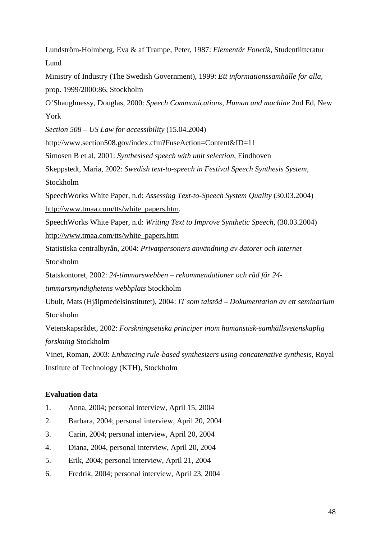Lundström-Holmberg, Eva & af Trampe, Peter, 1987: *Elementär Fonetik*, Studentlitteratur Lund

Ministry of Industry (The Swedish Government), 1999: *Ett informationssamhälle för alla,*  prop. 1999/2000:86, Stockholm

O'Shaughnessy, Douglas, 2000: *Speech Communications, Human and machine* 2nd Ed, New York

*Section 508 – US Law for accessibility* (15.04.2004)

http://www.section508.gov/index.cfm?FuseAction=Content&ID=11

Simosen B et al, 2001: *Synthesised speech with unit selection*, Eindhoven

Skeppstedt, Maria, 2002: *Swedish text-to-speech in Festival Speech Synthesis System*, Stockholm

SpeechWorks White Paper, n.d: *Assessing Text-to-Speech System Quality* (30.03.2004) http://www.tmaa.com/tts/white\_papers.htm.

SpeechWorks White Paper, n.d: *Writing Text to Improve Synthetic Speech*, (30.03.2004) http://www.tmaa.com/tts/white\_papers.htm

Statistiska centralbyrån, 2004: *Privatpersoners användning av datorer och Internet*

Stockholm

Statskontoret, 2002: *24-timmarswebben – rekommendationer och råd för 24-*

*timmarsmyndighetens webbplats* Stockholm

Ubult, Mats (Hjälpmedelsinstitutet), 2004: *IT som talstöd – Dokumentation av ett seminarium*  Stockholm

Vetenskapsrådet, 2002: *Forskningsetiska principer inom humanstisk-samhällsvetenskaplig forskning* Stockholm

Vinet, Roman, 2003: *Enhancing rule-based synthesizers using concatenative synthesis*, Royal Institute of Technology (KTH), Stockholm

#### **Evaluation data**

- 1. Anna, 2004; personal interview, April 15, 2004
- 2. Barbara, 2004; personal interview, April 20, 2004
- 3. Carin, 2004; personal interview, April 20, 2004
- 4. Diana, 2004, personal interview, April 20, 2004
- 5. Erik, 2004; personal interview, April 21, 2004
- 6. Fredrik, 2004; personal interview, April 23, 2004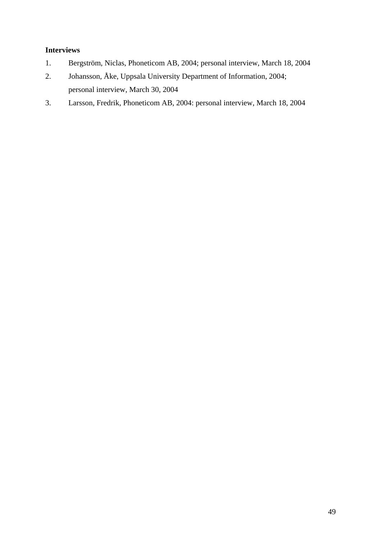#### **Interviews**

- 1. Bergström, Niclas, Phoneticom AB, 2004; personal interview, March 18, 2004
- 2. Johansson, Åke, Uppsala University Department of Information, 2004; personal interview, March 30, 2004
- 3. Larsson, Fredrik, Phoneticom AB, 2004: personal interview, March 18, 2004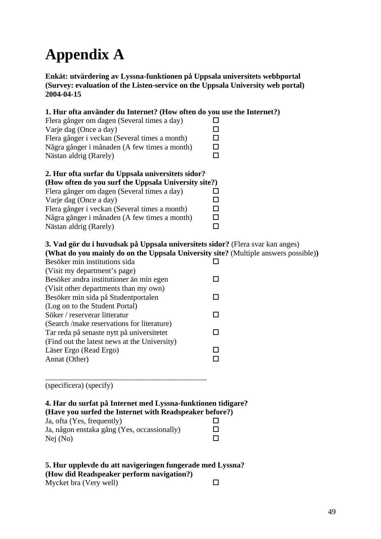# **Appendix A**

**Enkät: utvärdering av Lyssna-funktionen på Uppsala universitets webbportal (Survey: evaluation of the Listen-service on the Uppsala University web portal) 2004-04-15** 

| 1. Hur ofta använder du Internet? (How often do you use the Internet?)<br>Flera gånger om dagen (Several times a day)<br>Varje dag (Once a day)<br>Flera gånger i veckan (Several times a month)<br>Några gånger i månaden (A few times a month)<br>Nästan aldrig (Rarely)                                                 | ΙI<br>□<br>п<br>□<br>$\Box$      |
|----------------------------------------------------------------------------------------------------------------------------------------------------------------------------------------------------------------------------------------------------------------------------------------------------------------------------|----------------------------------|
| 2. Hur ofta surfar du Uppsala universitets sidor?<br>(How often do you surf the Uppsala University site?)<br>Flera gånger om dagen (Several times a day)<br>Varje dag (Once a day)<br>Flera gånger i veckan (Several times a month)<br>Några gånger i månaden (A few times a month)<br>Nästan aldrig (Rarely)              | ΙI<br>□<br>□<br>$\Box$<br>$\Box$ |
| 3. Vad gör du i huvudsak på Uppsala universitets sidor? (Flera svar kan anges)<br>(What do you mainly do on the Uppsala University site? (Multiple answers possible))<br>Besöker min institutions sida<br>(Visit my department's page)<br>Besöker andra institutioner än min egen<br>(Visit other departments than my own) | ΙI                               |
| Besöker min sida på Studentportalen<br>(Log on to the Student Portal)<br>Söker / reserverar litteratur<br>(Search /make reservations for literature)<br>Tar reda på senaste nytt på universitetet                                                                                                                          | ГJ<br>$\mathsf{L}$<br>□          |
| (Find out the latest news at the University)<br>Läser Ergo (Read Ergo)<br>Annat (Other)                                                                                                                                                                                                                                    | □<br>П                           |
| (specificera) (specify)<br>4. Har du surfat på Internet med Lyssna-funktionen tidigare?<br>(Have you surfed the Internet with Readspeaker before?)<br>Ja, ofta (Yes, frequently)<br>Ja, någon enstaka gång (Yes, occassionally)<br>Nej (No)                                                                                | ΙI<br>H                          |

#### **5. Hur upplevde du att navigeringen fungerade med Lyssna? (How did Readspeaker perform navigation?)**  Mycket bra (Very well)  $\square$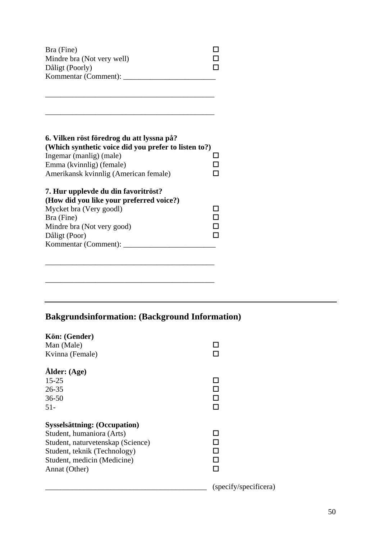| Bra (Fine)                 |  |
|----------------------------|--|
| Mindre bra (Not very well) |  |
| Dåligt (Poorly)            |  |
| Kommentar (Comment):       |  |

\_\_\_\_\_\_\_\_\_\_\_\_\_\_\_\_\_\_\_\_\_\_\_\_\_\_\_\_\_\_\_\_\_\_\_\_\_\_\_\_\_\_\_\_

\_\_\_\_\_\_\_\_\_\_\_\_\_\_\_\_\_\_\_\_\_\_\_\_\_\_\_\_\_\_\_\_\_\_\_\_\_\_\_\_\_\_\_\_

| 6. Vilken röst föredrog du att lyssna på?<br>(Which synthetic voice did you prefer to listen to?) |  |
|---------------------------------------------------------------------------------------------------|--|
| Ingemar (manlig) (male)                                                                           |  |
| Emma (kvinnlig) (female)                                                                          |  |
| Amerikansk kvinnlig (American female)                                                             |  |
| 7. Hur upplevde du din favoritröst?                                                               |  |
| (How did you like your preferred voice?)                                                          |  |
| Mycket bra (Very goodl)                                                                           |  |
| Bra (Fine)                                                                                        |  |

Mindre bra (Not very good)  $\Box$ Dåligt (Poor) Kommentar (Comment): \_\_\_\_\_\_\_\_\_\_\_\_\_\_\_\_\_\_\_\_\_\_\_\_

\_\_\_\_\_\_\_\_\_\_\_\_\_\_\_\_\_\_\_\_\_\_\_\_\_\_\_\_\_\_\_\_\_\_\_\_\_\_\_\_\_\_\_\_

# **Bakgrundsinformation: (Background Information)**

\_\_\_\_\_\_\_\_\_\_\_\_\_\_\_\_\_\_\_\_\_\_\_\_\_\_\_\_\_\_\_\_\_\_\_\_\_\_\_\_\_\_\_\_

| Kön: (Gender)                     |                       |
|-----------------------------------|-----------------------|
| Man (Male)                        |                       |
| Kvinna (Female)                   |                       |
| Ålder: (Age)                      |                       |
| $15 - 25$                         |                       |
| $26 - 35$                         |                       |
| $36 - 50$                         |                       |
| $51-$                             |                       |
| Sysselsättning: (Occupation)      |                       |
| Student, humaniora (Arts)         | ı                     |
| Student, naturvetenskap (Science) |                       |
| Student, teknik (Technology)      |                       |
| Student, medicin (Medicine)       |                       |
| Annat (Other)                     |                       |
|                                   | (specify/specificera) |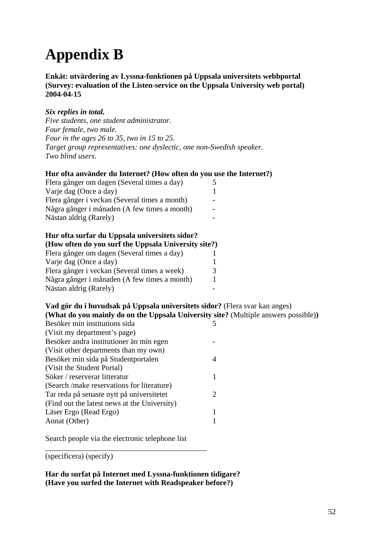# **Appendix B**

**Enkät: utvärdering av Lyssna-funktionen på Uppsala universitets webbportal (Survey: evaluation of the Listen-service on the Uppsala University web portal) 2004-04-15** 

#### *Six replies in total.*

*Five students, one student administrator. Four female, two male. Four in the ages 26 to 35, two in 15 to 25. Target group representatives: one dyslectic, one non-Swedish speaker. Two blind users.* 

#### **Hur ofta använder du Internet? (How often do you use the Internet?)**

| Flera gånger om dagen (Several times a day)   |  |
|-----------------------------------------------|--|
| Varje dag (Once a day)                        |  |
| Flera gånger i veckan (Several times a month) |  |
| Några gånger i månaden (A few times a month)  |  |
| Nästan aldrig (Rarely)                        |  |

#### **Hur ofta surfar du Uppsala universitets sidor?**

| (How often do you surf the Uppsala University site?) |   |
|------------------------------------------------------|---|
| Flera gånger om dagen (Several times a day)          |   |
| Varje dag (Once a day)                               |   |
| Flera gånger i veckan (Several times a week)         | 3 |
| Några gånger i månaden (A few times a month)         |   |
| Nästan aldrig (Rarely)                               |   |

#### **Vad gör du i huvudsak på Uppsala universitets sidor?** (Flera svar kan anges) **(What do you mainly do on the Uppsala University site?** (Multiple answers possible)**)**

| Besöker min institutions sida                |                             |
|----------------------------------------------|-----------------------------|
| (Visit my department's page)                 |                             |
| Besöker andra institutioner än min egen      |                             |
| (Visit other departments than my own)        |                             |
| Besöker min sida på Studentportalen          |                             |
| (Visit the Student Portal)                   |                             |
| Söker / reserverar litteratur                |                             |
| (Search / make reservations for literature)  |                             |
| Tar reda på senaste nytt på universitetet    | $\mathcal{D}_{\mathcal{L}}$ |
| (Find out the latest news at the University) |                             |
| Läser Ergo (Read Ergo)                       |                             |
| Annat (Other)                                |                             |

Search people via the electronic telephone list

\_\_\_\_\_\_\_\_\_\_\_\_\_\_\_\_\_\_\_\_\_\_\_\_\_\_\_\_\_\_\_\_\_\_\_\_\_\_\_\_\_\_

(specificera) (specify)

**Har du surfat på Internet med Lyssna-funktionen tidigare? (Have you surfed the Internet with Readspeaker before?)**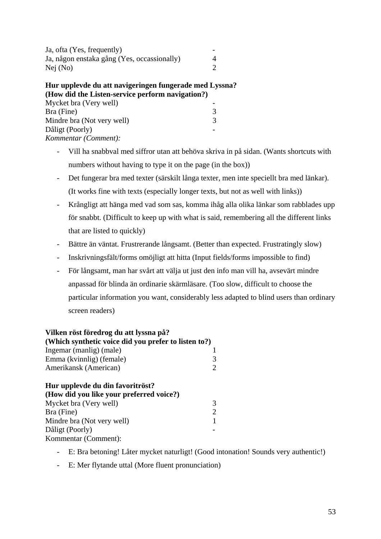| Ja, ofta (Yes, frequently)                  |  |
|---------------------------------------------|--|
| Ja, någon enstaka gång (Yes, occassionally) |  |
| Nej (No)                                    |  |

#### **Hur upplevde du att navigeringen fungerade med Lyssna? (How did the Listen-service perform navigation?)**

| Mycket bra (Very well)     |   |
|----------------------------|---|
| Bra (Fine)                 | 3 |
| Mindre bra (Not very well) |   |
| Dåligt (Poorly)            |   |
| Kommentar (Comment):       |   |

- Vill ha snabbval med siffror utan att behöva skriva in på sidan. (Wants shortcuts with numbers without having to type it on the page (in the box))
- Det fungerar bra med texter (särskilt långa texter, men inte speciellt bra med länkar). (It works fine with texts (especially longer texts, but not as well with links))
- Krångligt att hänga med vad som sas, komma ihåg alla olika länkar som rabblades upp för snabbt. (Difficult to keep up with what is said, remembering all the different links that are listed to quickly)
- Bättre än väntat. Frustrerande långsamt. (Better than expected. Frustratingly slow)
- Inskrivningsfält/forms omöjligt att hitta (Input fields/forms impossible to find)
- För långsamt, man har svårt att välja ut just den info man vill ha, avsevärt mindre anpassad för blinda än ordinarie skärmläsare. (Too slow, difficult to choose the particular information you want, considerably less adapted to blind users than ordinary screen readers)

## **Vilken röst föredrog du att lyssna på?**

Dåligt (Poorly)

Kommentar (Comment):

| (Which synthetic voice did you prefer to listen to?) |                        |  |
|------------------------------------------------------|------------------------|--|
| Ingemar (manlig) (male)                              |                        |  |
| Emma (kvinnlig) (female)                             |                        |  |
| Amerikansk (American)                                |                        |  |
| Hur upplevde du din favoritröst?                     |                        |  |
| (How did you like your preferred voice?)             |                        |  |
| Mycket bra (Very well)                               | 3                      |  |
| Bra (Fine)                                           | $\mathfrak{D}_{\cdot}$ |  |
| Mindre bra (Not very well)                           |                        |  |

- E: Bra betoning! Låter mycket naturligt! (Good intonation! Sounds very authentic!)
- E: Mer flytande uttal (More fluent pronunciation)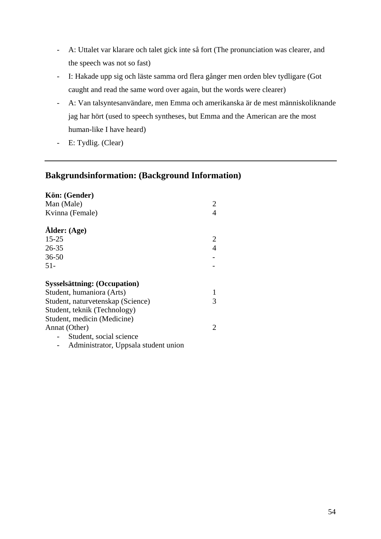- A: Uttalet var klarare och talet gick inte så fort (The pronunciation was clearer, and the speech was not so fast)
- I: Hakade upp sig och läste samma ord flera gånger men orden blev tydligare (Got caught and read the same word over again, but the words were clearer)
- A: Van talsyntesanvändare, men Emma och amerikanska är de mest människoliknande jag har hört (used to speech syntheses, but Emma and the American are the most human-like I have heard)
- E: Tydlig. (Clear)

#### **Bakgrundsinformation: (Background Information)**

| Kön: (Gender)                        |                |
|--------------------------------------|----------------|
| Man (Male)                           | 2              |
| Kvinna (Female)                      |                |
| Ålder: (Age)                         |                |
| $15 - 25$                            | 2              |
| $26 - 35$                            | $\overline{4}$ |
| $36 - 50$                            |                |
| $51 -$                               |                |
|                                      |                |
| <b>Sysselsättning: (Occupation)</b>  |                |
| Student, humaniora (Arts)            |                |
| Student, naturvetenskap (Science)    | 3              |
| Student, teknik (Technology)         |                |
| Student, medicin (Medicine)          |                |
| Annat (Other)                        | 2              |
| Student, social science              |                |
| Administrator, Uppsala student union |                |